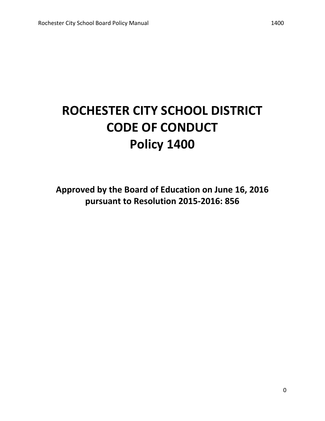# **ROCHESTER CITY SCHOOL DISTRICT CODE OF CONDUCT Policy 1400**

Approved by the Board of Education on June 16, 2016 pursuant to Resolution 2015-2016: 856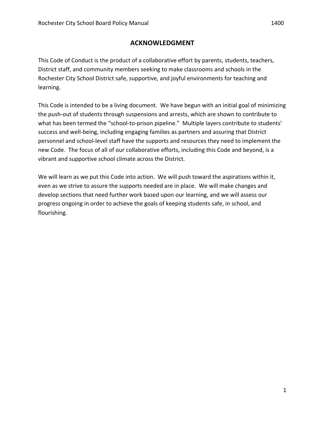## **ACKNOWLEDGMENT**

This Code of Conduct is the product of a collaborative effort by parents, students, teachers, District staff, and community members seeking to make classrooms and schools in the Rochester City School District safe, supportive, and joyful environments for teaching and learning.

This Code is intended to be a living document. We have begun with an initial goal of minimizing the push-out of students through suspensions and arrests, which are shown to contribute to what has been termed the "school-to-prison pipeline." Multiple layers contribute to students' success and well-being, including engaging families as partners and assuring that District personnel and school-level staff have the supports and resources they need to implement the new Code. The focus of all of our collaborative efforts, including this Code and beyond, is a vibrant and supportive school climate across the District.

We will learn as we put this Code into action. We will push toward the aspirations within it, even as we strive to assure the supports needed are in place. We will make changes and develop sections that need further work based upon our learning, and we will assess our progress ongoing in order to achieve the goals of keeping students safe, in school, and flourishing.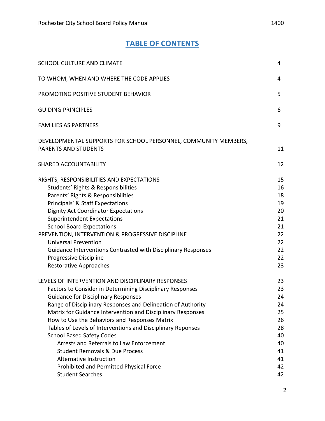## **TABLE OF CONTENTS**

| <b>SCHOOL CULTURE AND CLIMATE</b>                                                                                                                                                                                                                                                                                                                                                                                                                                                                                                                                                                                                                | 4                                                                          |
|--------------------------------------------------------------------------------------------------------------------------------------------------------------------------------------------------------------------------------------------------------------------------------------------------------------------------------------------------------------------------------------------------------------------------------------------------------------------------------------------------------------------------------------------------------------------------------------------------------------------------------------------------|----------------------------------------------------------------------------|
| TO WHOM, WHEN AND WHERE THE CODE APPLIES                                                                                                                                                                                                                                                                                                                                                                                                                                                                                                                                                                                                         | 4                                                                          |
| PROMOTING POSITIVE STUDENT BEHAVIOR                                                                                                                                                                                                                                                                                                                                                                                                                                                                                                                                                                                                              | 5                                                                          |
| <b>GUIDING PRINCIPLES</b>                                                                                                                                                                                                                                                                                                                                                                                                                                                                                                                                                                                                                        | 6                                                                          |
| <b>FAMILIES AS PARTNERS</b>                                                                                                                                                                                                                                                                                                                                                                                                                                                                                                                                                                                                                      | 9                                                                          |
| DEVELOPMENTAL SUPPORTS FOR SCHOOL PERSONNEL, COMMUNITY MEMBERS,<br><b>PARENTS AND STUDENTS</b>                                                                                                                                                                                                                                                                                                                                                                                                                                                                                                                                                   | 11                                                                         |
| SHARED ACCOUNTABILITY                                                                                                                                                                                                                                                                                                                                                                                                                                                                                                                                                                                                                            | 12                                                                         |
| RIGHTS, RESPONSIBILITIES AND EXPECTATIONS<br>Students' Rights & Responsibilities<br>Parents' Rights & Responsibilities<br>Principals' & Staff Expectations<br><b>Dignity Act Coordinator Expectations</b><br><b>Superintendent Expectations</b><br><b>School Board Expectations</b><br>PREVENTION, INTERVENTION & PROGRESSIVE DISCIPLINE<br><b>Universal Prevention</b><br>Guidance Interventions Contrasted with Disciplinary Responses<br>Progressive Discipline<br><b>Restorative Approaches</b>                                                                                                                                              | 15<br>16<br>18<br>19<br>20<br>21<br>21<br>22<br>22<br>22<br>22<br>23       |
| LEVELS OF INTERVENTION AND DISCIPLINARY RESPONSES<br><b>Factors to Consider in Determining Disciplinary Responses</b><br><b>Guidance for Disciplinary Responses</b><br>Range of Disciplinary Responses and Delineation of Authority<br>Matrix for Guidance Intervention and Disciplinary Responses<br>How to Use the Behaviors and Responses Matrix<br>Tables of Levels of Interventions and Disciplinary Reponses<br><b>School Based Safety Codes</b><br>Arrests and Referrals to Law Enforcement<br><b>Student Removals &amp; Due Process</b><br>Alternative Instruction<br>Prohibited and Permitted Physical Force<br><b>Student Searches</b> | 23<br>23<br>24<br>24<br>25<br>26<br>28<br>40<br>40<br>41<br>41<br>42<br>42 |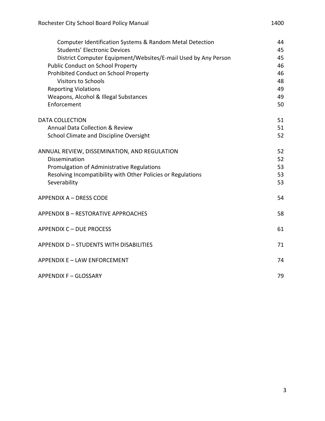| Computer Identification Systems & Random Metal Detection       | 44 |
|----------------------------------------------------------------|----|
| <b>Students' Electronic Devices</b>                            | 45 |
| District Computer Equipment/Websites/E-mail Used by Any Person | 45 |
| <b>Public Conduct on School Property</b>                       | 46 |
| Prohibited Conduct on School Property                          | 46 |
| <b>Visitors to Schools</b>                                     | 48 |
| <b>Reporting Violations</b>                                    | 49 |
| Weapons, Alcohol & Illegal Substances                          | 49 |
| Enforcement                                                    | 50 |
| <b>DATA COLLECTION</b>                                         | 51 |
| <b>Annual Data Collection &amp; Review</b>                     | 51 |
| School Climate and Discipline Oversight                        | 52 |
| ANNUAL REVIEW, DISSEMINATION, AND REGULATION                   | 52 |
| Dissemination                                                  | 52 |
| Promulgation of Administrative Regulations                     | 53 |
| Resolving Incompatibility with Other Policies or Regulations   | 53 |
| Severability                                                   | 53 |
| <b>APPENDIX A - DRESS CODE</b>                                 | 54 |
| APPENDIX B - RESTORATIVE APPROACHES                            | 58 |
| <b>APPENDIX C - DUE PROCESS</b>                                | 61 |
| <b>APPENDIX D - STUDENTS WITH DISABILITIES</b>                 | 71 |
| APPENDIX E - LAW ENFORCEMENT                                   | 74 |
| APPENDIX F - GLOSSARY                                          | 79 |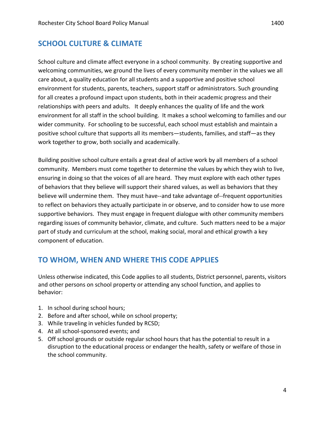School culture and climate affect everyone in a school community. By creating supportive and welcoming communities, we ground the lives of every community member in the values we all care about, a quality education for all students and a supportive and positive school environment for students, parents, teachers, support staff or administrators. Such grounding for all creates a profound impact upon students, both in their academic progress and their relationships with peers and adults. It deeply enhances the quality of life and the work environment for all staff in the school building. It makes a school welcoming to families and our wider community. For schooling to be successful, each school must establish and maintain a positive school culture that supports all its members—students, families, and staff—as they work together to grow, both socially and academically.

Building positive school culture entails a great deal of active work by all members of a school community. Members must come together to determine the values by which they wish to live, ensuring in doing so that the voices of all are heard. They must explore with each other types of behaviors that they believe will support their shared values, as well as behaviors that they believe will undermine them. They must have--and take advantage of--frequent opportunities to reflect on behaviors they actually participate in or observe, and to consider how to use more supportive behaviors. They must engage in frequent dialogue with other community members regarding issues of community behavior, climate, and culture. Such matters need to be a major part of study and curriculum at the school, making social, moral and ethical growth a key component of education.

## **TO WHOM, WHEN AND WHERE THIS CODE APPLIES**

Unless otherwise indicated, this Code applies to all students, District personnel, parents, visitors and other persons on school property or attending any school function, and applies to behavior:

- 1. In school during school hours;
- 2. Before and after school, while on school property;
- 3. While traveling in vehicles funded by RCSD;
- 4. At all school-sponsored events; and
- 5. Off school grounds or outside regular school hours that has the potential to result in a disruption to the educational process or endanger the health, safety or welfare of those in the school community.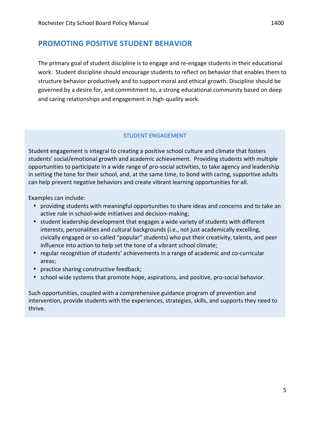## **PROMOTING POSITIVE STUDENT BEHAVIOR**

The primary goal of student discipline is to engage and re-engage students in their educational work. Student discipline should encourage students to reflect on behavior that enables them to structure behavior productively and to support moral and ethical growth. Discipline should be governed by a desire for, and commitment to, a strong educational community based on deep and caring relationships and engagement in high-quality work.

### STUDENT ENGAGEMENT

Student engagement is integral to creating a positive school culture and climate that fosters students' social/emotional growth and academic achievement. Providing students with multiple opportunities to participate in a wide range of pro-social activities, to take agency and leadership in setting the tone for their school, and, at the same time, to bond with caring, supportive adults can help prevent negative behaviors and create vibrant learning opportunities for all.

Examples can include:

- providing students with meaningful opportunities to share ideas and concerns and to take an active role in school-wide initiatives and decision-making;
- student leadership development that engages a wide variety of students with different interests, personalities and cultural backgrounds (i.e., not just academically excelling, civically engaged or so-called "popular" students) who put their creativity, talents, and peer influence into action to help set the tone of a vibrant school climate;
- regular recognition of students' achievements in a range of academic and co-curricular areas;
- practice sharing constructive feedback;
- school-wide systems that promote hope, aspirations, and positive, pro-social behavior.

Such opportunities, coupled with a comprehensive guidance program of prevention and intervention, provide students with the experiences, strategies, skills, and supports they need to thrive.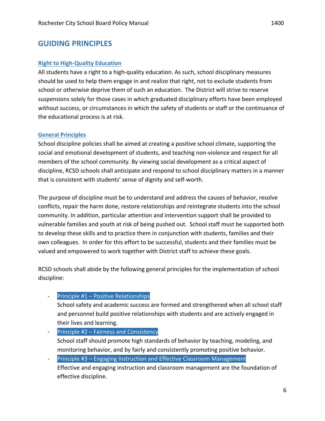### **Right to High-Quality Education**

All students have a right to a high-quality education. As such, school disciplinary measures should be used to help them engage in and realize that right, not to exclude students from school or otherwise deprive them of such an education. The District will strive to reserve suspensions solely for those cases in which graduated disciplinary efforts have been employed without success, or circumstances in which the safety of students or staff or the continuance of the educational process is at risk.

### **General Principles**

School discipline policies shall be aimed at creating a positive school climate, supporting the social and emotional development of students, and teaching non-violence and respect for all members of the school community. By viewing social development as a critical aspect of discipline, RCSD schools shall anticipate and respond to school disciplinary matters in a manner that is consistent with students' sense of dignity and self-worth.

The purpose of discipline must be to understand and address the causes of behavior, resolve conflicts, repair the harm done, restore relationships and reintegrate students into the school community. In addition, particular attention and intervention support shall be provided to vulnerable families and youth at risk of being pushed out. School staff must be supported both to develop these skills and to practice them in conjunction with students, families and their own colleagues. In order for this effort to be successful, students and their families must be valued and empowered to work together with District staff to achieve these goals.

RCSD schools shall abide by the following general principles for the implementation of school discipline:

### **-** Principle  $#1$  – Positive Relationships

School safety and academic success are formed and strengthened when all school staff and personnel build positive relationships with students and are actively engaged in their lives and learning.

- Principle  $#2$  Fairness and Consistency School staff should promote high standards of behavior by teaching, modeling, and monitoring behavior, and by fairly and consistently promoting positive behavior.
- Principle #3 Engaging Instruction and Effective Classroom Management Effective and engaging instruction and classroom management are the foundation of effective discipline.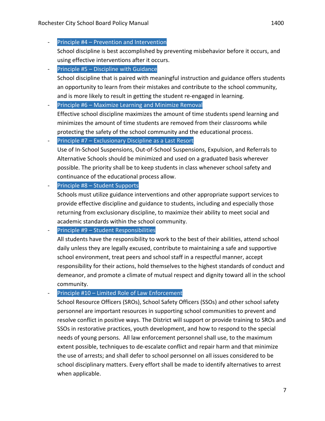School discipline is best accomplished by preventing misbehavior before it occurs, and using effective interventions after it occurs.

- Principle  $#5$  Discipline with Guidance School discipline that is paired with meaningful instruction and guidance offers students an opportunity to learn from their mistakes and contribute to the school community, and is more likely to result in getting the student re-engaged in learning.
- **-** Principle  $#6$  Maximize Learning and Minimize Removal

Effective school discipline maximizes the amount of time students spend learning and minimizes the amount of time students are removed from their classrooms while protecting the safety of the school community and the educational process.

Principle  $#7$  – Exclusionary Discipline as a Last Resort

- Use of In-School Suspensions, Out-of-School Suspensions, Expulsion, and Referrals to Alternative Schools should be minimized and used on a graduated basis wherever possible. The priority shall be to keep students in class whenever school safety and continuance of the educational process allow.
- Principle  $#8 -$  Student Supports

Schools must utilize guidance interventions and other appropriate support services to provide effective discipline and guidance to students, including and especially those returning from exclusionary discipline, to maximize their ability to meet social and academic standards within the school community.

Principle  $#9$  – Student Responsibilities

All students have the responsibility to work to the best of their abilities, attend school daily unless they are legally excused, contribute to maintaining a safe and supportive school environment, treat peers and school staff in a respectful manner, accept responsibility for their actions, hold themselves to the highest standards of conduct and demeanor, and promote a climate of mutual respect and dignity toward all in the school community.

### Principle  $#10$  – Limited Role of Law Enforcement

School Resource Officers (SROs), School Safety Officers (SSOs) and other school safety personnel are important resources in supporting school communities to prevent and resolve conflict in positive ways. The District will support or provide training to SROs and SSOs in restorative practices, youth development, and how to respond to the special needs of young persons. All law enforcement personnel shall use, to the maximum extent possible, techniques to de-escalate conflict and repair harm and that minimize the use of arrests; and shall defer to school personnel on all issues considered to be school disciplinary matters. Every effort shall be made to identify alternatives to arrest when applicable.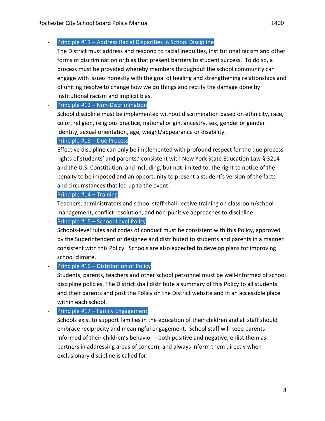The District must address and respond to racial inequities, institutional racism and other forms of discrimination or bias that present barriers to student success. To do so, a process must be provided whereby members throughout the school community can engage with issues honestly with the goal of healing and strengthening relationships and of uniting resolve to change how we do things and rectify the damage done by institutional racism and implicit bias.

 $-$  Principle #12 – Non-Discrimination

School discipline must be implemented without discrimination based on ethnicity, race, color, religion, religious practice, national origin, ancestry, sex, gender or gender identity, sexual orientation, age, weight/appearance or disability.

Principle #13 – Due Process

Effective discipline can only be implemented with profound respect for the due process rights of students' and parents,' consistent with New York State Education Law § 3214 and the U.S. Constitution, and including, but not limited to, the right to notice of the penalty to be imposed and an opportunity to present a student's version of the facts and circumstances that led up to the event.

**-** Principle  $#14 -$ Training

Teachers, administrators and school staff shall receive training on classroom/school management, conflict resolution, and non-punitive approaches to discipline.

**-** Principle  $#15 -$  School-Level Policy

Schools-level rules and codes of conduct must be consistent with this Policy, approved by the Superintendent or designee and distributed to students and parents in a manner consistent with this Policy. Schools are also expected to develop plans for improving school climate.

### Principle #16 – Distribution of Policy

Students, parents, teachers and other school personnel must be well-informed of school discipline policies. The District shall distribute a summary of this Policy to all students and their parents and post the Policy on the District website and in an accessible place within each school.

- Principle  $#17$  – Family Engagement

Schools exist to support families in the education of their children and all staff should embrace reciprocity and meaningful engagement. School staff will keep parents informed of their children's behavior—both positive and negative, enlist them as partners in addressing areas of concern, and always inform them directly when exclusionary discipline is called for.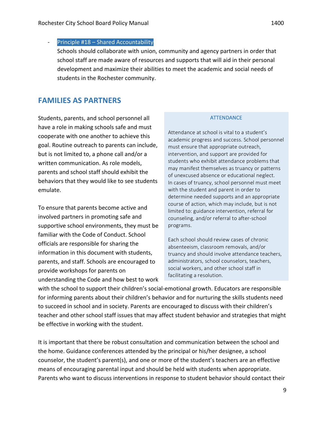Principle  $#18$  – Shared Accountability

Schools should collaborate with union, community and agency partners in order that school staff are made aware of resources and supports that will aid in their personal development and maximize their abilities to meet the academic and social needs of students in the Rochester community.

## **FAMILIES AS PARTNERS**

Students, parents, and school personnel all have a role in making schools safe and must cooperate with one another to achieve this goal. Routine outreach to parents can include, but is not limited to, a phone call and/or a written communication. As role models, parents and school staff should exhibit the behaviors that they would like to see students emulate. 

To ensure that parents become active and involved partners in promoting safe and supportive school environments, they must be familiar with the Code of Conduct. School officials are responsible for sharing the information in this document with students, parents, and staff. Schools are encouraged to provide workshops for parents on understanding the Code and how best to work

### **ATTENDANCE**

Attendance at school is vital to a student's academic progress and success. School personnel must ensure that appropriate outreach, intervention, and support are provided for students who exhibit attendance problems that may manifest themselves as truancy or patterns of unexcused absence or educational neglect. In cases of truancy, school personnel must meet with the student and parent in order to determine needed supports and an appropriate course of action, which may include, but is not limited to: guidance intervention, referral for counseling, and/or referral to after-school programs. 

Each school should review cases of chronic absenteeism, classroom removals, and/or truancy and should involve attendance teachers, administrators, school counselors, teachers, social workers, and other school staff in facilitating a resolution.

with the school to support their children's social-emotional growth. Educators are responsible for informing parents about their children's behavior and for nurturing the skills students need to succeed in school and in society. Parents are encouraged to discuss with their children's teacher and other school staff issues that may affect student behavior and strategies that might be effective in working with the student.

It is important that there be robust consultation and communication between the school and the home. Guidance conferences attended by the principal or his/her designee, a school counselor, the student's parent(s), and one or more of the student's teachers are an effective means of encouraging parental input and should be held with students when appropriate. Parents who want to discuss interventions in response to student behavior should contact their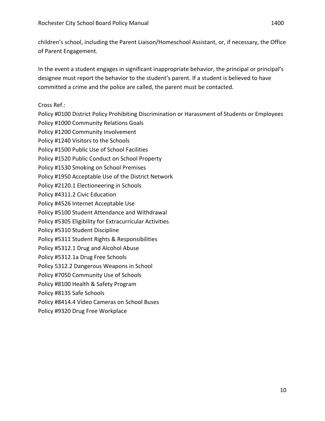children's school, including the Parent Liaison/Homeschool Assistant, or, if necessary, the Office of Parent Engagement.

In the event a student engages in significant inappropriate behavior, the principal or principal's designee must report the behavior to the student's parent. If a student is believed to have committed a crime and the police are called, the parent must be contacted.

Cross Ref.:

Policy #0100 District Policy Prohibiting Discrimination or Harassment of Students or Employees Policy #1000 Community Relations Goals Policy #1200 Community Involvement Policy #1240 Visitors to the Schools Policy #1500 Public Use of School Facilities Policy #1520 Public Conduct on School Property Policy #1530 Smoking on School Premises Policy #1950 Acceptable Use of the District Network Policy #2120.1 Electioneering in Schools Policy #4311.2 Civic Education Policy #4526 Internet Acceptable Use Policy #5100 Student Attendance and Withdrawal Policy #5305 Eligibility for Extracurricular Activities Policy #5310 Student Discipline Policy #5311 Student Rights & Responsibilities Policy #5312.1 Drug and Alcohol Abuse Policy #5312.1a Drug Free Schools Policy 5312.2 Dangerous Weapons in School Policy #7050 Community Use of Schools Policy #8100 Health & Safety Program Policy #8135 Safe Schools Policy #8414.4 Video Cameras on School Buses Policy #9320 Drug Free Workplace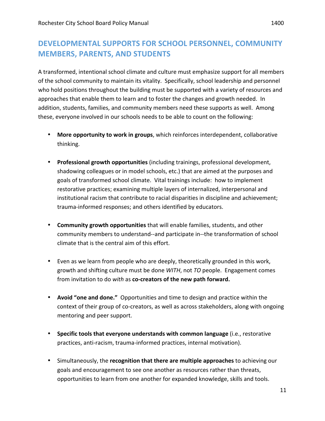## DEVELOPMENTAL SUPPORTS FOR SCHOOL PERSONNEL, COMMUNITY **MEMBERS, PARENTS, AND STUDENTS**

A transformed, intentional school climate and culture must emphasize support for all members of the school community to maintain its vitality. Specifically, school leadership and personnel who hold positions throughout the building must be supported with a variety of resources and approaches that enable them to learn and to foster the changes and growth needed. In addition, students, families, and community members need these supports as well. Among these, everyone involved in our schools needs to be able to count on the following:

- More opportunity to work in groups, which reinforces interdependent, collaborative thinking.
- **Professional growth opportunities** (including trainings, professional development, shadowing colleagues or in model schools, etc.) that are aimed at the purposes and goals of transformed school climate. Vital trainings include: how to implement restorative practices; examining multiple layers of internalized, interpersonal and institutional racism that contribute to racial disparities in discipline and achievement; trauma-informed responses; and others identified by educators.
- **Community growth opportunities** that will enable families, students, and other community members to understand--and participate in--the transformation of school climate that is the central aim of this effort.
- Even as we learn from people who are deeply, theoretically grounded in this work, growth and shifting culture must be done *WITH*, not *TO* people. Engagement comes from invitation to do with as co-creators of the new path forward.
- **Avoid "one and done."** Opportunities and time to design and practice within the context of their group of co-creators, as well as across stakeholders, along with ongoing mentoring and peer support.
- Specific tools that everyone understands with common language (i.e., restorative practices, anti-racism, trauma-informed practices, internal motivation).
- Simultaneously, the **recognition that there are multiple approaches** to achieving our goals and encouragement to see one another as resources rather than threats, opportunities to learn from one another for expanded knowledge, skills and tools.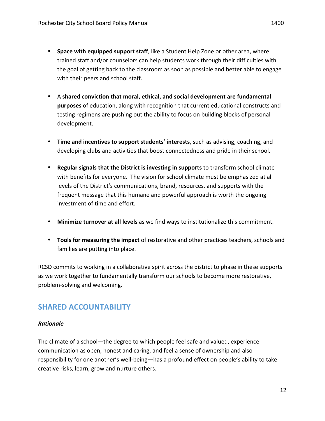- **Space with equipped support staff**, like a Student Help Zone or other area, where trained staff and/or counselors can help students work through their difficulties with the goal of getting back to the classroom as soon as possible and better able to engage with their peers and school staff.
- A shared conviction that moral, ethical, and social development are fundamental **purposes** of education, along with recognition that current educational constructs and testing regimens are pushing out the ability to focus on building blocks of personal development.
- Time and incentives to support students' interests, such as advising, coaching, and developing clubs and activities that boost connectedness and pride in their school.
- **Regular signals that the District is investing in supports** to transform school climate with benefits for everyone. The vision for school climate must be emphasized at all levels of the District's communications, brand, resources, and supports with the frequent message that this humane and powerful approach is worth the ongoing investment of time and effort.
- Minimize turnover at all levels as we find ways to institutionalize this commitment.
- **Tools for measuring the impact** of restorative and other practices teachers, schools and families are putting into place.

RCSD commits to working in a collaborative spirit across the district to phase in these supports as we work together to fundamentally transform our schools to become more restorative, problem-solving and welcoming.

## **SHARED ACCOUNTABILITY**

### *Rationale*

The climate of a school—the degree to which people feel safe and valued, experience communication as open, honest and caring, and feel a sense of ownership and also responsibility for one another's well-being-has a profound effect on people's ability to take creative risks, learn, grow and nurture others.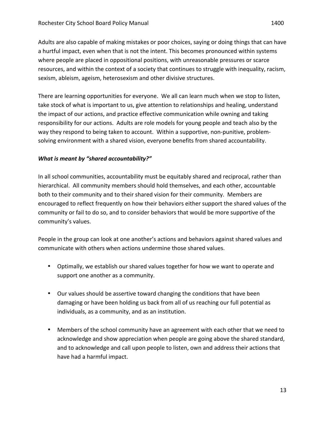Adults are also capable of making mistakes or poor choices, saying or doing things that can have a hurtful impact, even when that is not the intent. This becomes pronounced within systems where people are placed in oppositional positions, with unreasonable pressures or scarce resources, and within the context of a society that continues to struggle with inequality, racism, sexism, ableism, ageism, heterosexism and other divisive structures.

There are learning opportunities for everyone. We all can learn much when we stop to listen, take stock of what is important to us, give attention to relationships and healing, understand the impact of our actions, and practice effective communication while owning and taking responsibility for our actions. Adults are role models for young people and teach also by the way they respond to being taken to account. Within a supportive, non-punitive, problemsolving environment with a shared vision, everyone benefits from shared accountability.

### *What is meant by "shared accountability?"*

In all school communities, accountability must be equitably shared and reciprocal, rather than hierarchical. All community members should hold themselves, and each other, accountable both to their community and to their shared vision for their community. Members are encouraged to reflect frequently on how their behaviors either support the shared values of the community or fail to do so, and to consider behaviors that would be more supportive of the community's values.

People in the group can look at one another's actions and behaviors against shared values and communicate with others when actions undermine those shared values.

- Optimally, we establish our shared values together for how we want to operate and support one another as a community.
- Our values should be assertive toward changing the conditions that have been damaging or have been holding us back from all of us reaching our full potential as individuals, as a community, and as an institution.
- Members of the school community have an agreement with each other that we need to acknowledge and show appreciation when people are going above the shared standard, and to acknowledge and call upon people to listen, own and address their actions that have had a harmful impact.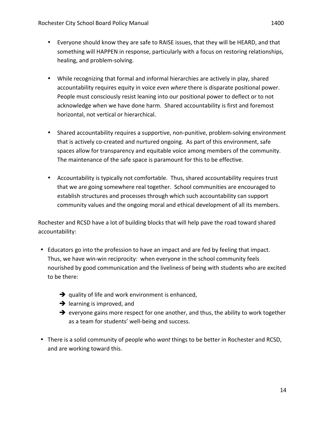- Everyone should know they are safe to RAISE issues, that they will be HEARD, and that something will HAPPEN in response, particularly with a focus on restoring relationships, healing, and problem-solving.
- While recognizing that formal and informal hierarchies are actively in play, shared accountability requires equity in voice even where there is disparate positional power. People must consciously resist leaning into our positional power to deflect or to not acknowledge when we have done harm. Shared accountability is first and foremost horizontal, not vertical or hierarchical.
- Shared accountability requires a supportive, non-punitive, problem-solving environment that is actively co-created and nurtured ongoing. As part of this environment, safe spaces allow for transparency and equitable voice among members of the community. The maintenance of the safe space is paramount for this to be effective.
- Accountability is typically not comfortable. Thus, shared accountability requires trust that we are going somewhere real together. School communities are encouraged to establish structures and processes through which such accountability can support community values and the ongoing moral and ethical development of all its members.

Rochester and RCSD have a lot of building blocks that will help pave the road toward shared accountability:

- Educators go into the profession to have an impact and are fed by feeling that impact. Thus, we have win-win reciprocity: when everyone in the school community feels nourished by good communication and the liveliness of being with students who are excited to be there:
	- $\rightarrow$  quality of life and work environment is enhanced,
	- $\rightarrow$  learning is improved, and
	- $\rightarrow$  everyone gains more respect for one another, and thus, the ability to work together as a team for students' well-being and success.
- There is a solid community of people who *want* things to be better in Rochester and RCSD, and are working toward this.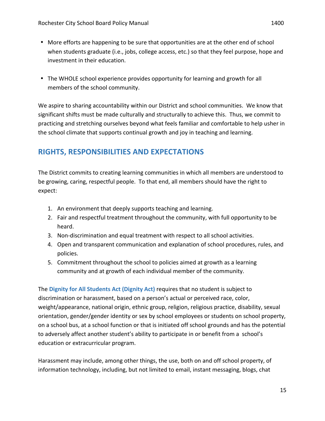- More efforts are happening to be sure that opportunities are at the other end of school when students graduate (i.e., jobs, college access, etc.) so that they feel purpose, hope and investment in their education.
- The WHOLE school experience provides opportunity for learning and growth for all members of the school community.

We aspire to sharing accountability within our District and school communities. We know that significant shifts must be made culturally and structurally to achieve this. Thus, we commit to practicing and stretching ourselves beyond what feels familiar and comfortable to help usher in the school climate that supports continual growth and joy in teaching and learning.

## **RIGHTS, RESPONSIBILITIES AND EXPECTATIONS**

The District commits to creating learning communities in which all members are understood to be growing, caring, respectful people. To that end, all members should have the right to expect:

- 1. An environment that deeply supports teaching and learning.
- 2. Fair and respectful treatment throughout the community, with full opportunity to be heard.
- 3. Non-discrimination and equal treatment with respect to all school activities.
- 4. Open and transparent communication and explanation of school procedures, rules, and policies.
- 5. Commitment throughout the school to policies aimed at growth as a learning community and at growth of each individual member of the community.

The Dignity for All Students Act (Dignity Act) requires that no student is subject to discrimination or harassment, based on a person's actual or perceived race, color, weight/appearance, national origin, ethnic group, religion, religious practice, disability, sexual orientation, gender/gender identity or sex by school employees or students on school property, on a school bus, at a school function or that is initiated off school grounds and has the potential to adversely affect another student's ability to participate in or benefit from a school's education or extracurricular program.

Harassment may include, among other things, the use, both on and off school property, of information technology, including, but not limited to email, instant messaging, blogs, chat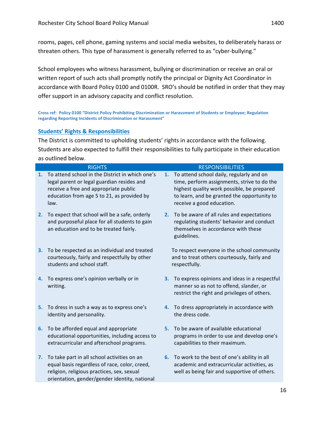rooms, pages, cell phone, gaming systems and social media websites, to deliberately harass or threaten others. This type of harassment is generally referred to as "cyber-bullying."

School employees who witness harassment, bullying or discrimination or receive an oral or written report of such acts shall promptly notify the principal or Dignity Act Coordinator in accordance with Board Policy 0100 and 0100R. SRO's should be notified in order that they may offer support in an advisory capacity and conflict resolution.

Cross ref: Policy 0100 "District Policy Prohibiting Discrimination or Harassment of Students or Employee; Regulation **regarding Reporting Incidents of Discrimination or Harassment"** 

### **Students' Rights & Responsibilities**

The District is committed to upholding students' rights in accordance with the following. Students are also expected to fulfill their responsibilities to fully participate in their education as outlined below.

|    | <b>RIGHTS</b>                                                                                                                                                                                |    | <b>RESPONSIBILITIES</b>                                                                                                                                                                                           |
|----|----------------------------------------------------------------------------------------------------------------------------------------------------------------------------------------------|----|-------------------------------------------------------------------------------------------------------------------------------------------------------------------------------------------------------------------|
| 1. | To attend school in the District in which one's<br>legal parent or legal guardian resides and<br>receive a free and appropriate public<br>education from age 5 to 21, as provided by<br>law. | 1. | To attend school daily, regularly and on<br>time, perform assignments, strive to do the<br>highest quality work possible, be prepared<br>to learn, and be granted the opportunity to<br>receive a good education. |
| 2. | To expect that school will be a safe, orderly<br>and purposeful place for all students to gain<br>an education and to be treated fairly.                                                     | 2. | To be aware of all rules and expectations<br>regulating students' behavior and conduct<br>themselves in accordance with these<br>guidelines.                                                                      |
| 3. | To be respected as an individual and treated<br>courteously, fairly and respectfully by other<br>students and school staff.                                                                  |    | To respect everyone in the school community<br>and to treat others courteously, fairly and<br>respectfully.                                                                                                       |
| 4. | To express one's opinion verbally or in<br>writing.                                                                                                                                          | 3. | To express opinions and ideas in a respectful<br>manner so as not to offend, slander, or<br>restrict the right and privileges of others.                                                                          |
| 5. | To dress in such a way as to express one's<br>identity and personality.                                                                                                                      |    | 4. To dress appropriately in accordance with<br>the dress code.                                                                                                                                                   |
| 6. | To be afforded equal and appropriate<br>educational opportunities, including access to<br>extracurricular and afterschool programs.                                                          | 5. | To be aware of available educational<br>programs in order to use and develop one's<br>capabilities to their maximum.                                                                                              |
| 7. | To take part in all school activities on an<br>equal basis regardless of race, color, creed,<br>religion, religious practices, sex, sexual<br>orientation, gender/gender identity, national  | 6. | To work to the best of one's ability in all<br>academic and extracurricular activities, as<br>well as being fair and supportive of others.                                                                        |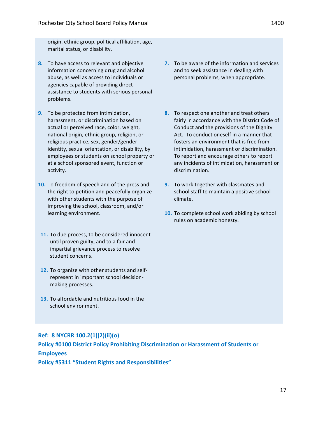origin, ethnic group, political affiliation, age, marital status, or disability.

- **8.** To have access to relevant and objective information concerning drug and alcohol abuse, as well as access to individuals or agencies capable of providing direct assistance to students with serious personal problems.
- **9.** To be protected from intimidation, harassment, or discrimination based on actual or perceived race, color, weight, national origin, ethnic group, religion, or religious practice, sex, gender/gender identity, sexual orientation, or disability, by employees or students on school property or at a school sponsored event, function or activity.
- **10.** To freedom of speech and of the press and the right to petition and peacefully organize with other students with the purpose of improving the school, classroom, and/or learning environment.
- 11. To due process, to be considered innocent until proven guilty, and to a fair and impartial grievance process to resolve student concerns.
- 12. To organize with other students and selfrepresent in important school decisionmaking processes.
- **13.** To affordable and nutritious food in the school environment.
- **7.** To be aware of the information and services and to seek assistance in dealing with personal problems, when appropriate.
- **8.** To respect one another and treat others fairly in accordance with the District Code of Conduct and the provisions of the Dignity Act. To conduct oneself in a manner that fosters an environment that is free from intimidation, harassment or discrimination. To report and encourage others to report any incidents of intimidation, harassment or discrimination.
- **9.** To work together with classmates and school staff to maintain a positive school climate.
- **10.** To complete school work abiding by school rules on academic honesty.

### **Ref: 8 NYCRR 100.2(1)(2)(ii)(o)**

**Policy #0100 District Policy Prohibiting Discrimination or Harassment of Students or Employees**

**Policy #5311 "Student Rights and Responsibilities"** 

17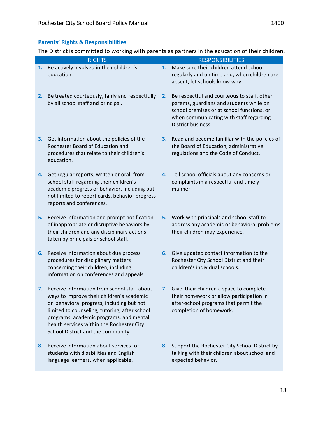### **Parents' Rights & Responsibilities**

The District is committed to working with parents as partners in the education of their children.

|    | <b>RIGHTS</b>                                                                                                                                                                                                                                                                                                        |    | <b>RESPONSIBILITIES</b>                                                                                                                                                                                |
|----|----------------------------------------------------------------------------------------------------------------------------------------------------------------------------------------------------------------------------------------------------------------------------------------------------------------------|----|--------------------------------------------------------------------------------------------------------------------------------------------------------------------------------------------------------|
| 1. | Be actively involved in their children's<br>education.                                                                                                                                                                                                                                                               | 1. | Make sure their children attend school<br>regularly and on time and, when children are<br>absent, let schools know why.                                                                                |
| 2. | Be treated courteously, fairly and respectfully<br>by all school staff and principal.                                                                                                                                                                                                                                | 2. | Be respectful and courteous to staff, other<br>parents, guardians and students while on<br>school premises or at school functions, or<br>when communicating with staff regarding<br>District business. |
| 3. | Get information about the policies of the<br>Rochester Board of Education and<br>procedures that relate to their children's<br>education.                                                                                                                                                                            |    | 3. Read and become familiar with the policies of<br>the Board of Education, administrative<br>regulations and the Code of Conduct.                                                                     |
| 4. | Get regular reports, written or oral, from<br>school staff regarding their children's<br>academic progress or behavior, including but<br>not limited to report cards, behavior progress<br>reports and conferences.                                                                                                  |    | 4. Tell school officials about any concerns or<br>complaints in a respectful and timely<br>manner.                                                                                                     |
| 5. | Receive information and prompt notification<br>of inappropriate or disruptive behaviors by<br>their children and any disciplinary actions<br>taken by principals or school staff.                                                                                                                                    | 5. | Work with principals and school staff to<br>address any academic or behavioral problems<br>their children may experience.                                                                              |
| 6. | Receive information about due process<br>procedures for disciplinary matters<br>concerning their children, including<br>information on conferences and appeals.                                                                                                                                                      |    | 6. Give updated contact information to the<br>Rochester City School District and their<br>children's individual schools.                                                                               |
| 7. | Receive information from school staff about<br>ways to improve their children's academic<br>or behavioral progress, including but not<br>limited to counseling, tutoring, after school<br>programs, academic programs, and mental<br>health services within the Rochester City<br>School District and the community. | 7. | Give their children a space to complete<br>their homework or allow participation in<br>after-school programs that permit the<br>completion of homework.                                                |
| 8. | Receive information about services for<br>students with disabilities and English<br>language learners, when applicable.                                                                                                                                                                                              | 8. | Support the Rochester City School District by<br>talking with their children about school and<br>expected behavior.                                                                                    |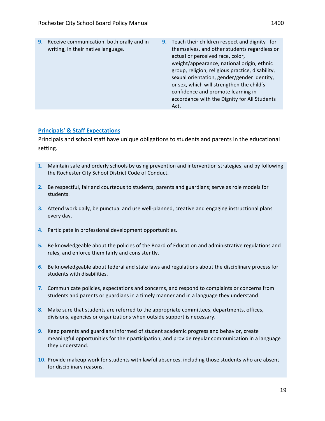**9.** Receive communication, both orally and in writing, in their native language. **9.** Teach their children respect and dignity for themselves, and other students regardless or actual or perceived race, color, weight/appearance, national origin, ethnic group, religion, religious practice, disability, sexual orientation, gender/gender identity, or sex, which will strengthen the child's confidence and promote learning in

Act.

### **Principals' & Staff Expectations**

Principals and school staff have unique obligations to students and parents in the educational setting.

- **1.** Maintain safe and orderly schools by using prevention and intervention strategies, and by following the Rochester City School District Code of Conduct.
- **2.** Be respectful, fair and courteous to students, parents and guardians; serve as role models for students.
- **3.** Attend work daily, be punctual and use well-planned, creative and engaging instructional plans every day.
- **4.** Participate in professional development opportunities.
- **5.** Be knowledgeable about the policies of the Board of Education and administrative regulations and rules, and enforce them fairly and consistently.
- **6.** Be knowledgeable about federal and state laws and regulations about the disciplinary process for students with disabilities.
- **7.** Communicate policies, expectations and concerns, and respond to complaints or concerns from students and parents or guardians in a timely manner and in a language they understand.
- **8.** Make sure that students are referred to the appropriate committees, departments, offices, divisions, agencies or organizations when outside support is necessary.
- **9.** Keep parents and guardians informed of student academic progress and behavior, create meaningful opportunities for their participation, and provide regular communication in a language they understand.
- **10.** Provide makeup work for students with lawful absences, including those students who are absent for disciplinary reasons.

accordance with the Dignity for All Students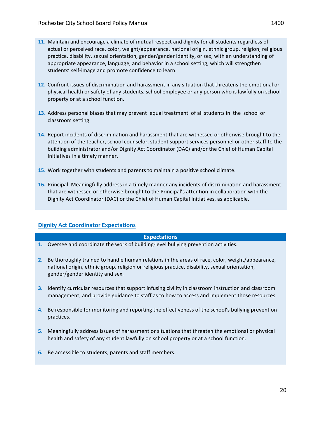- **11.** Maintain and encourage a climate of mutual respect and dignity for all students regardless of actual or perceived race, color, weight/appearance, national origin, ethnic group, religion, religious practice, disability, sexual orientation, gender/gender identity, or sex, with an understanding of appropriate appearance, language, and behavior in a school setting, which will strengthen students' self-image and promote confidence to learn.
- **12.** Confront issues of discrimination and harassment in any situation that threatens the emotional or physical health or safety of any students, school employee or any person who is lawfully on school property or at a school function.
- **13.** Address personal biases that may prevent equal treatment of all students in the school or classroom setting
- **14.** Report incidents of discrimination and harassment that are witnessed or otherwise brought to the attention of the teacher, school counselor, student support services personnel or other staff to the building administrator and/or Dignity Act Coordinator (DAC) and/or the Chief of Human Capital Initiatives in a timely manner.
- **15.** Work together with students and parents to maintain a positive school climate.
- **16.** Principal: Meaningfully address in a timely manner any incidents of discrimination and harassment that are witnessed or otherwise brought to the Principal's attention in collaboration with the Dignity Act Coordinator (DAC) or the Chief of Human Capital Initiatives, as applicable.

### **Dignity Act Coordinator Expectations**

### **Expectations**

- **1.** Oversee and coordinate the work of building-level bullying prevention activities.
- **2.** Be thoroughly trained to handle human relations in the areas of race, color, weight/appearance, national origin, ethnic group, religion or religious practice, disability, sexual orientation, gender/gender identity and sex.
- **3.** Identify curricular resources that support infusing civility in classroom instruction and classroom management; and provide guidance to staff as to how to access and implement those resources.
- **4.** Be responsible for monitoring and reporting the effectiveness of the school's bullying prevention practices.
- **5.** Meaningfully address issues of harassment or situations that threaten the emotional or physical health and safety of any student lawfully on school property or at a school function.
- **6.** Be accessible to students, parents and staff members.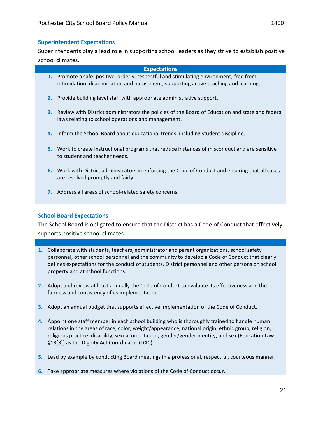### **Superintendent Expectations**

Superintendents play a lead role in supporting school leaders as they strive to establish positive school climates.

## **Expectations 1.** Promote a safe, positive, orderly, respectful and stimulating environment, free from intimidation, discrimination and harassment, supporting active teaching and learning. **2.** Provide building level staff with appropriate administrative support. **3.** Review with District administrators the policies of the Board of Education and state and federal laws relating to school operations and management. **4.** Inform the School Board about educational trends, including student discipline.

- **5.** Work to create instructional programs that reduce instances of misconduct and are sensitive to student and teacher needs.
- **6.** Work with District administrators in enforcing the Code of Conduct and ensuring that all cases are resolved promptly and fairly.
- **7.** Address all areas of school-related safety concerns.

### **School Board Expectations**

The School Board is obligated to ensure that the District has a Code of Conduct that effectively supports positive school climates.

- **1.** Collaborate with students, teachers, administrator and parent organizations, school safety personnel, other school personnel and the community to develop a Code of Conduct that clearly defines expectations for the conduct of students, District personnel and other persons on school property and at school functions.
- **2.** Adopt and review at least annually the Code of Conduct to evaluate its effectiveness and the fairness and consistency of its implementation.
- **3.** Adopt an annual budget that supports effective implementation of the Code of Conduct.
- **4.** Appoint one staff member in each school building who is thoroughly trained to handle human relations in the areas of race, color, weight/appearance, national origin, ethnic group, religion, religious practice, disability, sexual orientation, gender/gender identity, and sex (Education Law §13[3]) as the Dignity Act Coordinator (DAC).
- **5.** Lead by example by conducting Board meetings in a professional, respectful, courteous manner.
- **6.** Take appropriate measures where violations of the Code of Conduct occur.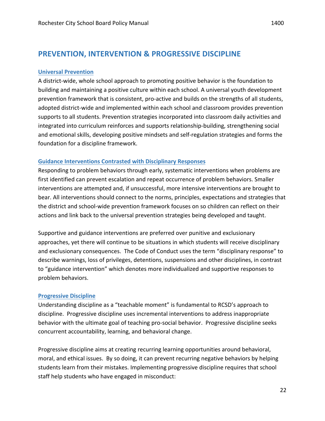## **PREVENTION, INTERVENTION & PROGRESSIVE DISCIPLINE**

### **Universal Prevention**

A district-wide, whole school approach to promoting positive behavior is the foundation to building and maintaining a positive culture within each school. A universal youth development prevention framework that is consistent, pro-active and builds on the strengths of all students, adopted district-wide and implemented within each school and classroom provides prevention supports to all students. Prevention strategies incorporated into classroom daily activities and integrated into curriculum reinforces and supports relationship-building, strengthening social and emotional skills, developing positive mindsets and self-regulation strategies and forms the foundation for a discipline framework.

### **Guidance Interventions Contrasted with Disciplinary Responses**

Responding to problem behaviors through early, systematic interventions when problems are first identified can prevent escalation and repeat occurrence of problem behaviors. Smaller interventions are attempted and, if unsuccessful, more intensive interventions are brought to bear. All interventions should connect to the norms, principles, expectations and strategies that the district and school-wide prevention framework focuses on so children can reflect on their actions and link back to the universal prevention strategies being developed and taught.

Supportive and guidance interventions are preferred over punitive and exclusionary approaches, yet there will continue to be situations in which students will receive disciplinary and exclusionary consequences. The Code of Conduct uses the term "disciplinary response" to describe warnings, loss of privileges, detentions, suspensions and other disciplines, in contrast to "guidance intervention" which denotes more individualized and supportive responses to problem behaviors.

### **Progressive Discipline**

Understanding discipline as a "teachable moment" is fundamental to RCSD's approach to discipline. Progressive discipline uses incremental interventions to address inappropriate behavior with the ultimate goal of teaching pro-social behavior. Progressive discipline seeks concurrent accountability, learning, and behavioral change.

Progressive discipline aims at creating recurring learning opportunities around behavioral, moral, and ethical issues. By so doing, it can prevent recurring negative behaviors by helping students learn from their mistakes. Implementing progressive discipline requires that school staff help students who have engaged in misconduct: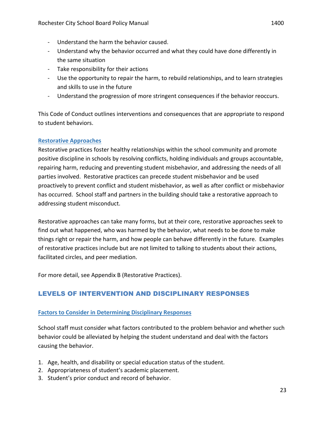- Understand the harm the behavior caused.
- Understand why the behavior occurred and what they could have done differently in the same situation
- Take responsibility for their actions
- Use the opportunity to repair the harm, to rebuild relationships, and to learn strategies and skills to use in the future
- Understand the progression of more stringent consequences if the behavior reoccurs.

This Code of Conduct outlines interventions and consequences that are appropriate to respond to student behaviors.

### **Restorative Approaches**

Restorative practices foster healthy relationships within the school community and promote positive discipline in schools by resolving conflicts, holding individuals and groups accountable, repairing harm, reducing and preventing student misbehavior, and addressing the needs of all parties involved. Restorative practices can precede student misbehavior and be used proactively to prevent conflict and student misbehavior, as well as after conflict or misbehavior has occurred. School staff and partners in the building should take a restorative approach to addressing student misconduct.

Restorative approaches can take many forms, but at their core, restorative approaches seek to find out what happened, who was harmed by the behavior, what needs to be done to make things right or repair the harm, and how people can behave differently in the future. Examples of restorative practices include but are not limited to talking to students about their actions, facilitated circles, and peer mediation.

For more detail, see Appendix B (Restorative Practices).

## LEVELS OF INTERVENTION AND DISCIPLINARY RESPONSES

### **Factors to Consider in Determining Disciplinary Responses**

School staff must consider what factors contributed to the problem behavior and whether such behavior could be alleviated by helping the student understand and deal with the factors causing the behavior.

- 1. Age, health, and disability or special education status of the student.
- 2. Appropriateness of student's academic placement.
- 3. Student's prior conduct and record of behavior.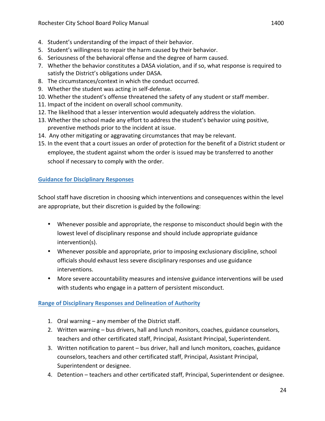- 4. Student's understanding of the impact of their behavior.
- 5. Student's willingness to repair the harm caused by their behavior.
- 6. Seriousness of the behavioral offense and the degree of harm caused.
- 7. Whether the behavior constitutes a DASA violation, and if so, what response is required to satisfy the District's obligations under DASA.
- 8. The circumstances/context in which the conduct occurred.
- 9. Whether the student was acting in self-defense.
- 10. Whether the student's offense threatened the safety of any student or staff member.
- 11. Impact of the incident on overall school community.
- 12. The likelihood that a lesser intervention would adequately address the violation.
- 13. Whether the school made any effort to address the student's behavior using positive, preventive methods prior to the incident at issue.
- 14. Any other mitigating or aggravating circumstances that may be relevant.
- 15. In the event that a court issues an order of protection for the benefit of a District student or employee, the student against whom the order is issued may be transferred to another school if necessary to comply with the order.

### **Guidance for Disciplinary Responses**

School staff have discretion in choosing which interventions and consequences within the level are appropriate, but their discretion is guided by the following:

- Whenever possible and appropriate, the response to misconduct should begin with the lowest level of disciplinary response and should include appropriate guidance intervention(s).
- Whenever possible and appropriate, prior to imposing exclusionary discipline, school officials should exhaust less severe disciplinary responses and use guidance interventions.
- More severe accountability measures and intensive guidance interventions will be used with students who engage in a pattern of persistent misconduct.

### **Range of Disciplinary Responses and Delineation of Authority**

- 1. Oral warning  $-$  any member of the District staff.
- 2. Written warning bus drivers, hall and lunch monitors, coaches, guidance counselors, teachers and other certificated staff, Principal, Assistant Principal, Superintendent.
- 3. Written notification to parent bus driver, hall and lunch monitors, coaches, guidance counselors, teachers and other certificated staff, Principal, Assistant Principal, Superintendent or designee.
- 4. Detention teachers and other certificated staff, Principal, Superintendent or designee.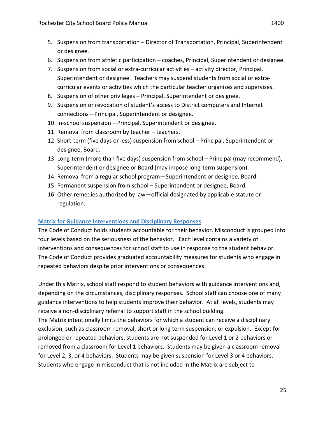- 5. Suspension from transportation Director of Transportation, Principal, Superintendent or designee.
- 6. Suspension from athletic participation coaches, Principal, Superintendent or designee.
- 7. Suspension from social or extra-curricular activities activity director, Principal, Superintendent or designee. Teachers may suspend students from social or extracurricular events or activities which the particular teacher organizes and supervises.
- 8. Suspension of other privileges Principal, Superintendent or designee.
- 9. Suspension or revocation of student's access to District computers and Internet connections-Principal, Superintendent or designee.
- 10. In-school suspension Principal, Superintendent or designee.
- 11. Removal from classroom by teacher  $-$  teachers.
- 12. Short-term (five days or less) suspension from school Principal, Superintendent or designee, Board.
- 13. Long-term (more than five days) suspension from school Principal (may recommend), Superintendent or designee or Board (may impose long-term suspension).
- 14. Removal from a regular school program—Superintendent or designee, Board.
- 15. Permanent suspension from school Superintendent or designee, Board.
- 16. Other remedies authorized by law—official designated by applicable statute or regulation.

### **Matrix for Guidance Interventions and Disciplinary Responses**

The Code of Conduct holds students accountable for their behavior. Misconduct is grouped into four levels based on the seriousness of the behavior. Each level contains a variety of interventions and consequences for school staff to use in response to the student behavior. The Code of Conduct provides graduated accountability measures for students who engage in repeated behaviors despite prior interventions or consequences.

Under this Matrix, school staff respond to student behaviors with guidance interventions and, depending on the circumstances, disciplinary responses. School staff can choose one of many guidance interventions to help students improve their behavior. At all levels, students may receive a non-disciplinary referral to support staff in the school building.

The Matrix intentionally limits the behaviors for which a student can receive a disciplinary exclusion, such as classroom removal, short or long term suspension, or expulsion. Except for prolonged or repeated behaviors, students are not suspended for Level 1 or 2 behaviors or removed from a classroom for Level 1 behaviors. Students may be given a classroom removal for Level 2, 3, or 4 behaviors. Students may be given suspension for Level 3 or 4 behaviors. Students who engage in misconduct that is not included in the Matrix are subject to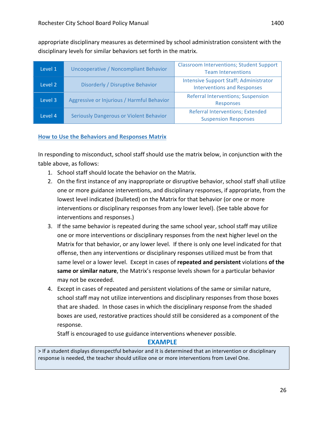appropriate disciplinary measures as determined by school administration consistent with the disciplinary levels for similar behaviors set forth in the matrix.

| Level 1 | Uncooperative / Noncompliant Behavior          | <b>Classroom Interventions; Student Support</b><br><b>Team Interventions</b>        |
|---------|------------------------------------------------|-------------------------------------------------------------------------------------|
| Level 2 | Disorderly / Disruptive Behavior               | <b>Intensive Support Staff; Administrator</b><br><b>Interventions and Responses</b> |
| Level 3 | Aggressive or Injurious / Harmful Behavior     | <b>Referral Interventions; Suspension</b><br><b>Responses</b>                       |
| Level 4 | <b>Seriously Dangerous or Violent Behavior</b> | <b>Referral Interventions; Extended</b><br><b>Suspension Responses</b>              |

### **How to Use the Behaviors and Responses Matrix**

In responding to misconduct, school staff should use the matrix below, in conjunction with the table above, as follows:

- 1. School staff should locate the behavior on the Matrix.
- 2. On the first instance of any inappropriate or disruptive behavior, school staff shall utilize one or more guidance interventions, and disciplinary responses, if appropriate, from the lowest level indicated (bulleted) on the Matrix for that behavior (or one or more interventions or disciplinary responses from any lower level). (See table above for interventions and responses.)
- 3. If the same behavior is repeated during the same school year, school staff may utilize one or more interventions or disciplinary responses from the next higher level on the Matrix for that behavior, or any lower level. If there is only one level indicated for that offense, then any interventions or disciplinary responses utilized must be from that same level or a lower level. Except in cases of **repeated and persistent** violations of the **same or similar nature**, the Matrix's response levels shown for a particular behavior may not be exceeded.
- 4. Except in cases of repeated and persistent violations of the same or similar nature, school staff may not utilize interventions and disciplinary responses from those boxes that are shaded. In those cases in which the disciplinary response from the shaded boxes are used, restorative practices should still be considered as a component of the response.

Staff is encouraged to use guidance interventions whenever possible.

### **EXAMPLE**

> If a student displays disrespectful behavior and it is determined that an intervention or disciplinary response is needed, the teacher should utilize one or more interventions from Level One.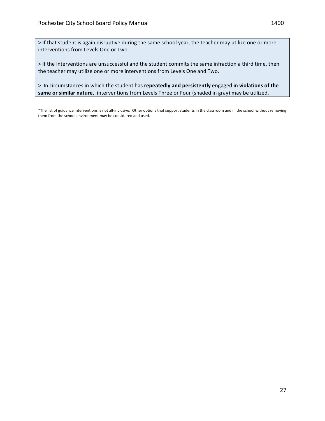> If that student is again disruptive during the same school year, the teacher may utilize one or more interventions from Levels One or Two.

> If the interventions are unsuccessful and the student commits the same infraction a third time, then the teacher may utilize one or more interventions from Levels One and Two.

> In circumstances in which the student has repeatedly and persistently engaged in violations of the same or similar nature, interventions from Levels Three or Four (shaded in gray) may be utilized.

\*The list of guidance interventions is not all-inclusive. Other options that support students in the classroom and in the school without removing them from the school environment may be considered and used.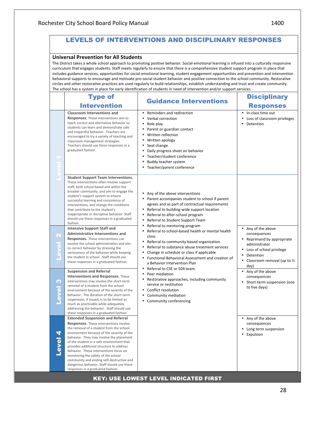## LEVELS OF INTERVENTIONS AND DISCIPLINARY RESPONSES

#### **Universal Prevention for All Students**

The District takes a whole school approach to promoting positive behavior. Social-emotional learning is infused into a culturally responsive curriculum that engages students. Staff meets regularly to ensure that there is a comprehensive student support program in place that includes guidance services, opportunities for social-emotional learning, student engagement opportunities and prevention and intervention behavioral supports to encourage and motivate pro-social student behavior and positive connection to the school community. Restorative circles and other restorative practices are used regularly to build relationships, establish understanding and trust and create community. The school has a system in place for early identification of students in need of intervention and/or support services

|                   | <b>Type of</b>                                                                                                                                                                                                                                                                                                                                                                                                                                                                                                                           | The sendor has a system in place for early faction cation or staachts in need or intervention and/or support services                                                                                                                                                                                                        | <b>Disciplinary</b>                                                                                                                                                |  |  |
|-------------------|------------------------------------------------------------------------------------------------------------------------------------------------------------------------------------------------------------------------------------------------------------------------------------------------------------------------------------------------------------------------------------------------------------------------------------------------------------------------------------------------------------------------------------------|------------------------------------------------------------------------------------------------------------------------------------------------------------------------------------------------------------------------------------------------------------------------------------------------------------------------------|--------------------------------------------------------------------------------------------------------------------------------------------------------------------|--|--|
|                   | <b>Intervention</b>                                                                                                                                                                                                                                                                                                                                                                                                                                                                                                                      | <b>Guidance Interventions</b>                                                                                                                                                                                                                                                                                                | <b>Responses</b>                                                                                                                                                   |  |  |
|                   | <b>Classroom Interventions and</b><br><b>Responses.</b> These interventions aim to<br>teach correct and alternative behavior so<br>students can learn and demonstrate safe<br>and respectful behavior. Teachers are<br>encouraged to try a variety of teaching and<br>classroom management strategies.<br>Teachers should use these responses in a<br>graduated fashion.                                                                                                                                                                 | • Reminders and redirection<br>• Verbal correction<br>٠<br>Role play<br>• Parent or guardian contact<br>Written reflection<br>Written apology<br>٠<br>• Seat change<br>Daily progress sheet on behavior<br>Teacher/student conference<br>Buddy teacher system<br>٠<br>Teacher/parent conference                              | In-class time out<br>Loss of classroom privileges<br>Detention                                                                                                     |  |  |
|                   | <b>Student Support Team Interventions.</b><br>These interventions often involve support<br>staff, both school based and within the<br>broader community, and aim to engage the<br>student's support system to ensure<br>successful learning and consistency of<br>interventions, and change the conditions<br>that contribute to the student's<br>inappropriate or disruptive behavior. Staff<br>should use these responses in a graduated<br>fashion.                                                                                   | • Any of the above interventions<br>• Parent accompanies student to school if parent<br>agrees and as part of contractual requirements<br>• Referral to building-wide support location<br>Referral to after-school program<br>Referral to Student Support Team                                                               |                                                                                                                                                                    |  |  |
| N                 | <b>Intensive Support Staff and</b><br>Administrative Interventions and<br><b>Responses.</b> These interventions can<br>involve the school administration and aim<br>to correct behavior by stressing the<br>seriousness of the behavior while keeping<br>the student in school. Staff should use<br>these responses in a graduated fashion.                                                                                                                                                                                              | Referral to mentoring program<br>Referral to school-based health or mental health<br>clinic<br>Referral to community-based organization<br>Referral to substance abuse treatment services<br>Change in schedule or class if applicable<br>• Functional Behavioral Assessment and creation of<br>a Behavior Intervention Plan | • Any of the above<br>consequences<br>• Reprimand by appropriate<br>administrator<br>Loss of school privilege<br>Detention<br>Classroom removal (up to 1/2<br>day) |  |  |
| M                 | <b>Suspension and Referral</b><br>Interventions and Responses. These<br>interventions may involve the short-term<br>removal of a student from the school<br>environment because of the severity of the<br>behavior. The duration of the short-term<br>suspension, if issued, is to be limited as<br>much as practicable while adequately<br>addressing the behavior. Staff should use<br>these responses in a graduated fashion.                                                                                                         | Referral to CSE or 504 team.<br>Peer mediation<br>Restorative approaches, including community<br>service or restitution<br>• Conflict resolution<br>Community mediation<br>Community conferencing                                                                                                                            | • Any of the above<br>consequences<br>• Short-term suspension (one<br>to five days)                                                                                |  |  |
| 4<br><b>Level</b> | <b>Extended Suspension and Referral</b><br><b>Responses.</b> These interventions involve<br>the removal of a student from the school<br>environment because of the severity of the<br>behavior. They may involve the placement<br>of the student in a safe environment that<br>provides additional structure to address<br>behavior. These interventions focus on<br>monitoring the safety of the school<br>community and ending self-destructive and<br>dangerous behavior. Staff should use these<br>responses in a graduated fashion. |                                                                                                                                                                                                                                                                                                                              | • Any of the above<br>consequences<br>Long term suspension<br>• Expulsion                                                                                          |  |  |

### KEY: USE LOWEST LEVEL INDICATED FIRST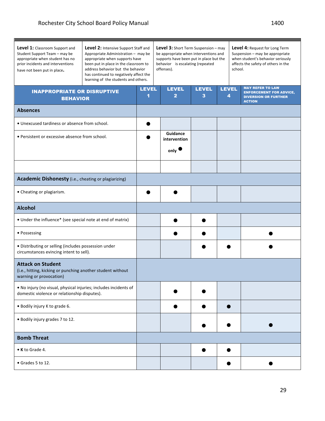| Level 1: Classroom Support and<br>Student Support Team - may be<br>appropriate when student has no<br>prior incidents and interventions<br>have not been put in place. | Level 2: Intensive Support Staff and<br>Appropriate Administration - may be<br>appropriate when supports have<br>been put in place in the classroom to<br>address behavior but the behavior<br>has continued to negatively affect the<br>learning of the students and others. | <b>Level 3:</b> Short Term Suspension - may<br>be appropriate when interventions and<br>supports have been put in place but the<br>behavior is escalating (repeated<br>offenses). |  |                                                     |                   |              | Level 4: Request for Long Term<br>Suspension - may be appropriate<br>when student's behavior seriously<br>affects the safety of others in the<br>school. |                                                                                                           |  |
|------------------------------------------------------------------------------------------------------------------------------------------------------------------------|-------------------------------------------------------------------------------------------------------------------------------------------------------------------------------------------------------------------------------------------------------------------------------|-----------------------------------------------------------------------------------------------------------------------------------------------------------------------------------|--|-----------------------------------------------------|-------------------|--------------|----------------------------------------------------------------------------------------------------------------------------------------------------------|-----------------------------------------------------------------------------------------------------------|--|
| <b>INAPPROPRIATE OR DISRUPTIVE</b><br><b>BEHAVIOR</b>                                                                                                                  |                                                                                                                                                                                                                                                                               | <b>LEVEL</b><br>1                                                                                                                                                                 |  | <b>LEVEL</b><br>2                                   | <b>LEVEL</b><br>3 | <b>LEVEL</b> | 4                                                                                                                                                        | <b>MAY REFER TO LAW</b><br><b>ENFORCEMENT FOR ADVICE,</b><br><b>DIVERSION OR FURTHER</b><br><b>ACTION</b> |  |
| <b>Absences</b>                                                                                                                                                        |                                                                                                                                                                                                                                                                               |                                                                                                                                                                                   |  |                                                     |                   |              |                                                                                                                                                          |                                                                                                           |  |
| • Unexcused tardiness or absence from school.                                                                                                                          |                                                                                                                                                                                                                                                                               |                                                                                                                                                                                   |  |                                                     |                   |              |                                                                                                                                                          |                                                                                                           |  |
| • Persistent or excessive absence from school.                                                                                                                         |                                                                                                                                                                                                                                                                               |                                                                                                                                                                                   |  | <b>Guidance</b><br>intervention<br>$_{\text{only}}$ |                   |              |                                                                                                                                                          |                                                                                                           |  |
|                                                                                                                                                                        |                                                                                                                                                                                                                                                                               |                                                                                                                                                                                   |  |                                                     |                   |              |                                                                                                                                                          |                                                                                                           |  |
| Academic Dishonesty (i.e., cheating or plagiarizing)                                                                                                                   |                                                                                                                                                                                                                                                                               |                                                                                                                                                                                   |  |                                                     |                   |              |                                                                                                                                                          |                                                                                                           |  |
| • Cheating or plagiarism.                                                                                                                                              |                                                                                                                                                                                                                                                                               |                                                                                                                                                                                   |  |                                                     |                   |              |                                                                                                                                                          |                                                                                                           |  |
| <b>Alcohol</b>                                                                                                                                                         |                                                                                                                                                                                                                                                                               |                                                                                                                                                                                   |  |                                                     |                   |              |                                                                                                                                                          |                                                                                                           |  |
| • Under the influence* (see special note at end of matrix)                                                                                                             |                                                                                                                                                                                                                                                                               |                                                                                                                                                                                   |  |                                                     |                   |              |                                                                                                                                                          |                                                                                                           |  |
| • Possessing                                                                                                                                                           |                                                                                                                                                                                                                                                                               |                                                                                                                                                                                   |  |                                                     |                   |              |                                                                                                                                                          |                                                                                                           |  |
| • Distributing or selling (includes possession under<br>circumstances evincing intent to sell).                                                                        |                                                                                                                                                                                                                                                                               |                                                                                                                                                                                   |  |                                                     |                   |              |                                                                                                                                                          |                                                                                                           |  |
| <b>Attack on Student</b><br>(i.e., hitting, kicking or punching another student without<br>warning or provocation)                                                     |                                                                                                                                                                                                                                                                               |                                                                                                                                                                                   |  |                                                     |                   |              |                                                                                                                                                          |                                                                                                           |  |
| . No injury (no visual, physical injuries; includes incidents of<br>domestic violence or relationship disputes).                                                       |                                                                                                                                                                                                                                                                               |                                                                                                                                                                                   |  |                                                     |                   |              |                                                                                                                                                          |                                                                                                           |  |
| • Bodily injury K to grade 6.                                                                                                                                          |                                                                                                                                                                                                                                                                               |                                                                                                                                                                                   |  |                                                     |                   |              |                                                                                                                                                          |                                                                                                           |  |
| . Bodily injury grades 7 to 12.                                                                                                                                        |                                                                                                                                                                                                                                                                               |                                                                                                                                                                                   |  |                                                     |                   |              |                                                                                                                                                          |                                                                                                           |  |
| <b>Bomb Threat</b>                                                                                                                                                     |                                                                                                                                                                                                                                                                               |                                                                                                                                                                                   |  |                                                     |                   |              |                                                                                                                                                          |                                                                                                           |  |
| • K to Grade 4.                                                                                                                                                        |                                                                                                                                                                                                                                                                               |                                                                                                                                                                                   |  |                                                     |                   |              |                                                                                                                                                          |                                                                                                           |  |
| $\bullet$ Grades 5 to 12.                                                                                                                                              |                                                                                                                                                                                                                                                                               |                                                                                                                                                                                   |  |                                                     |                   |              |                                                                                                                                                          |                                                                                                           |  |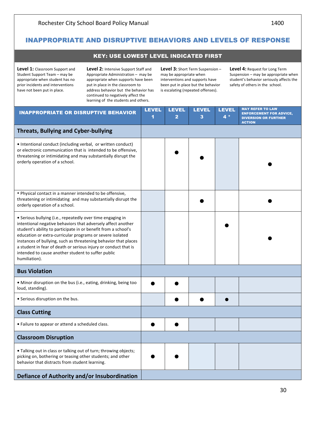### KEY: USE LOWEST LEVEL INDICATED FIRST

Level 1: Classroom Support and Student Support Team – may be appropriate when student has no prior incidents and interventions have not been put in place.

Level 2: Intensive Support Staff and Appropriate Administration - may be appropriate when supports have been put in place in the classroom to address behavior but the behavior has continued to negatively affect the learning of the students and others.

Level 3: Short Term Suspension may be appropriate when interventions and supports have been put in place but the behavior is escalating (repeated offenses).

Level 4: Request for Long Term Suspension  $-$  may be appropriate when student's behavior seriously affects the safety of others in the school.

| <b>INAPPROPRIATE OR DISRUPTIVE BEHAVIOR</b>                                                                                                                                                                                                                                                                                                                                                                                                                            | <b>LEVEL</b><br>1 | <b>LEVEL</b><br>$\overline{2}$ | <b>LEVEL</b><br>3 | <b>LEVEL</b><br>$4*$ | <b>MAY REFER TO LAW</b><br><b>ENFORCEMENT FOR ADVICE,</b><br><b>DIVERSION OR FURTHER</b><br><b>ACTION</b> |
|------------------------------------------------------------------------------------------------------------------------------------------------------------------------------------------------------------------------------------------------------------------------------------------------------------------------------------------------------------------------------------------------------------------------------------------------------------------------|-------------------|--------------------------------|-------------------|----------------------|-----------------------------------------------------------------------------------------------------------|
| <b>Threats, Bullying and Cyber-bullying</b>                                                                                                                                                                                                                                                                                                                                                                                                                            |                   |                                |                   |                      |                                                                                                           |
| • Intentional conduct (including verbal, or written conduct)<br>or electronic communication that is intended to be offensive,<br>threatening or intimidating and may substantially disrupt the<br>orderly operation of a school.                                                                                                                                                                                                                                       |                   |                                |                   |                      |                                                                                                           |
| . Physical contact in a manner intended to be offensive,<br>threatening or intimidating and may substantially disrupt the<br>orderly operation of a school.                                                                                                                                                                                                                                                                                                            |                   |                                |                   |                      |                                                                                                           |
| • Serious bullying (i.e., repeatedly over time engaging in<br>intentional negative behaviors that adversely affect another<br>student's ability to participate in or benefit from a school's<br>education or extra-curricular programs or severe isolated<br>instances of bullying, such as threatening behavior that places<br>a student in fear of death or serious injury or conduct that is<br>intended to cause another student to suffer public<br>humiliation). |                   |                                |                   |                      |                                                                                                           |
| <b>Bus Violation</b>                                                                                                                                                                                                                                                                                                                                                                                                                                                   |                   |                                |                   |                      |                                                                                                           |
| • Minor disruption on the bus (i.e., eating, drinking, being too<br>loud, standing).                                                                                                                                                                                                                                                                                                                                                                                   |                   |                                |                   |                      |                                                                                                           |
| • Serious disruption on the bus.                                                                                                                                                                                                                                                                                                                                                                                                                                       |                   |                                |                   |                      |                                                                                                           |
| <b>Class Cutting</b>                                                                                                                                                                                                                                                                                                                                                                                                                                                   |                   |                                |                   |                      |                                                                                                           |
| • Failure to appear or attend a scheduled class.                                                                                                                                                                                                                                                                                                                                                                                                                       |                   |                                |                   |                      |                                                                                                           |
| <b>Classroom Disruption</b>                                                                                                                                                                                                                                                                                                                                                                                                                                            |                   |                                |                   |                      |                                                                                                           |
| • Talking out in class or talking out of turn; throwing objects;<br>picking on, bothering or teasing other students; and other<br>behavior that distracts from student learning.                                                                                                                                                                                                                                                                                       |                   |                                |                   |                      |                                                                                                           |
| Defiance of Authority and/or Insubordination                                                                                                                                                                                                                                                                                                                                                                                                                           |                   |                                |                   |                      |                                                                                                           |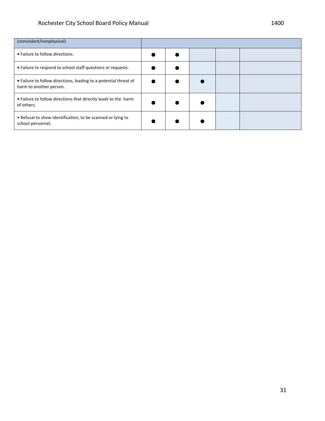| (nonviolent/nonphysical)                                                                    |  |  |  |
|---------------------------------------------------------------------------------------------|--|--|--|
| • Failure to follow directions.                                                             |  |  |  |
| • Failure to respond to school staff questions or requests.                                 |  |  |  |
| • Failure to follow directions, leading to a potential threat of<br>harm to another person. |  |  |  |
| • Failure to follow directions that directly leads to the harm<br>of others.                |  |  |  |
| • Refusal to show identification, to be scanned or lying to<br>school personnel.            |  |  |  |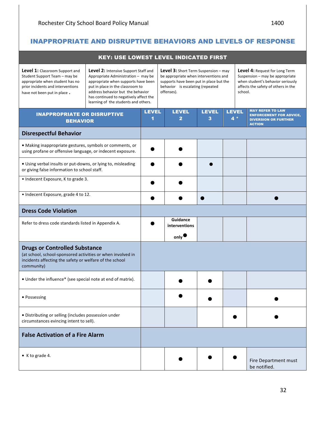| <b>KEY: USE LOWEST LEVEL INDICATED FIRST</b>                                                                                                                                  |                                                                                                                                                                                                                                                                               |                                                                                                                                                                                   |  |                                               |                   |  |                      |                                                                                                                                                                 |  |
|-------------------------------------------------------------------------------------------------------------------------------------------------------------------------------|-------------------------------------------------------------------------------------------------------------------------------------------------------------------------------------------------------------------------------------------------------------------------------|-----------------------------------------------------------------------------------------------------------------------------------------------------------------------------------|--|-----------------------------------------------|-------------------|--|----------------------|-----------------------------------------------------------------------------------------------------------------------------------------------------------------|--|
| <b>Level 1:</b> Classroom Support and<br>Student Support Team - may be<br>appropriate when student has no<br>prior incidents and interventions<br>have not been put in place. | Level 2: Intensive Support Staff and<br>Appropriate Administration - may be<br>appropriate when supports have been<br>put in place in the classroom to<br>address behavior but the behavior<br>has continued to negatively affect the<br>learning of the students and others. | <b>Level 3:</b> Short Term Suspension - may<br>be appropriate when interventions and<br>supports have been put in place but the<br>behavior is escalating (repeated<br>offenses). |  |                                               |                   |  |                      | <b>Level 4: Request for Long Term</b><br>Suspension - may be appropriate<br>when student's behavior seriously<br>affects the safety of others in the<br>school. |  |
| <b>INAPPROPRIATE OR DISRUPTIVE</b><br><b>BEHAVIOR</b>                                                                                                                         |                                                                                                                                                                                                                                                                               | <b>LEVEL</b><br>1                                                                                                                                                                 |  | <b>LEVEL</b><br>$\overline{2}$                | <b>LEVEL</b><br>3 |  | <b>LEVEL</b><br>$4*$ | <b>MAY REFER TO LAW</b><br><b>ENFORCEMENT FOR ADVICE,</b><br><b>DIVERSION OR FURTHER</b><br><b>ACTION</b>                                                       |  |
| <b>Disrespectful Behavior</b>                                                                                                                                                 |                                                                                                                                                                                                                                                                               |                                                                                                                                                                                   |  |                                               |                   |  |                      |                                                                                                                                                                 |  |
| • Making inappropriate gestures, symbols or comments, or<br>using profane or offensive language, or indecent exposure.                                                        |                                                                                                                                                                                                                                                                               |                                                                                                                                                                                   |  |                                               |                   |  |                      |                                                                                                                                                                 |  |
| · Using verbal insults or put-downs, or lying to, misleading<br>or giving false information to school staff.                                                                  |                                                                                                                                                                                                                                                                               |                                                                                                                                                                                   |  |                                               |                   |  |                      |                                                                                                                                                                 |  |
| • Indecent Exposure, K to grade 3.                                                                                                                                            |                                                                                                                                                                                                                                                                               |                                                                                                                                                                                   |  |                                               |                   |  |                      |                                                                                                                                                                 |  |
| • Indecent Exposure, grade 4 to 12.                                                                                                                                           |                                                                                                                                                                                                                                                                               |                                                                                                                                                                                   |  |                                               |                   |  |                      |                                                                                                                                                                 |  |
| <b>Dress Code Violation</b>                                                                                                                                                   |                                                                                                                                                                                                                                                                               |                                                                                                                                                                                   |  |                                               |                   |  |                      |                                                                                                                                                                 |  |
| Refer to dress code standards listed in Appendix A.                                                                                                                           |                                                                                                                                                                                                                                                                               |                                                                                                                                                                                   |  | Guidance<br>interventions<br>$_{\text{only}}$ |                   |  |                      |                                                                                                                                                                 |  |
| <b>Drugs or Controlled Substance</b><br>(at school, school-sponsored activities or when involved in<br>incidents affecting the safety or welfare of the school<br>community)  |                                                                                                                                                                                                                                                                               |                                                                                                                                                                                   |  |                                               |                   |  |                      |                                                                                                                                                                 |  |
| • Under the influence* (see special note at end of matrix).                                                                                                                   |                                                                                                                                                                                                                                                                               |                                                                                                                                                                                   |  |                                               |                   |  |                      |                                                                                                                                                                 |  |
| • Possessing                                                                                                                                                                  |                                                                                                                                                                                                                                                                               |                                                                                                                                                                                   |  |                                               |                   |  |                      |                                                                                                                                                                 |  |
| · Distributing or selling (includes possession under<br>circumstances evincing intent to sell).                                                                               |                                                                                                                                                                                                                                                                               |                                                                                                                                                                                   |  |                                               |                   |  |                      |                                                                                                                                                                 |  |
| <b>False Activation of a Fire Alarm</b>                                                                                                                                       |                                                                                                                                                                                                                                                                               |                                                                                                                                                                                   |  |                                               |                   |  |                      |                                                                                                                                                                 |  |
| • K to grade 4.                                                                                                                                                               |                                                                                                                                                                                                                                                                               |                                                                                                                                                                                   |  |                                               |                   |  |                      | Fire Department must<br>be notified.                                                                                                                            |  |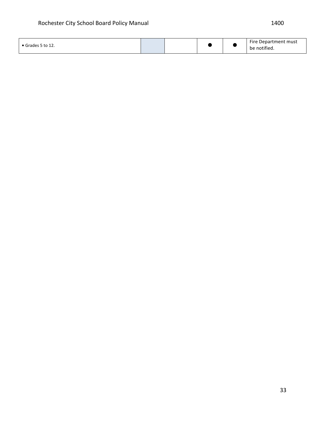| Grades 5 to 12. |  |  |  |  | Fire .<br>: Department must<br>.<br>notified.<br>be |
|-----------------|--|--|--|--|-----------------------------------------------------|
|-----------------|--|--|--|--|-----------------------------------------------------|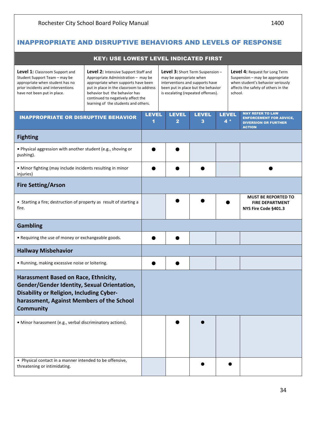|                                                                                                                                                                                                         | <b>KEY: USE LOWEST LEVEL INDICATED FIRST</b>                                                                                                                                                                                                                                  |                   |                                                                                                  |                   |                                                                               |  |                                                                                                                                                                 |
|---------------------------------------------------------------------------------------------------------------------------------------------------------------------------------------------------------|-------------------------------------------------------------------------------------------------------------------------------------------------------------------------------------------------------------------------------------------------------------------------------|-------------------|--------------------------------------------------------------------------------------------------|-------------------|-------------------------------------------------------------------------------|--|-----------------------------------------------------------------------------------------------------------------------------------------------------------------|
| <b>Level 1:</b> Classroom Support and<br>Student Support Team - may be<br>appropriate when student has no<br>prior incidents and interventions<br>have not been put in place.                           | Level 2: Intensive Support Staff and<br>Appropriate Administration - may be<br>appropriate when supports have been<br>put in place in the classroom to address<br>behavior but the behavior has<br>continued to negatively affect the<br>learning of the students and others. |                   | may be appropriate when<br>interventions and supports have<br>is escalating (repeated offenses). |                   | <b>Level 3:</b> Short Term Suspension -<br>been put in place but the behavior |  | <b>Level 4: Request for Long Term</b><br>Suspension - may be appropriate<br>when student's behavior seriously<br>affects the safety of others in the<br>school. |
| <b>INAPPROPRIATE OR DISRUPTIVE BEHAVIOR</b>                                                                                                                                                             |                                                                                                                                                                                                                                                                               | <b>LEVEL</b><br>1 | <b>LEVEL</b><br>2                                                                                | <b>LEVEL</b><br>3 | <b>LEVEL</b><br>$4*$                                                          |  | <b>MAY REFER TO LAW</b><br><b>ENFORCEMENT FOR ADVICE,</b><br><b>DIVERSION OR FURTHER</b><br><b>ACTION</b>                                                       |
| <b>Fighting</b>                                                                                                                                                                                         |                                                                                                                                                                                                                                                                               |                   |                                                                                                  |                   |                                                                               |  |                                                                                                                                                                 |
| . Physical aggression with another student (e.g., shoving or<br>pushing).                                                                                                                               |                                                                                                                                                                                                                                                                               |                   |                                                                                                  |                   |                                                                               |  |                                                                                                                                                                 |
| • Minor fighting (may include incidents resulting in minor<br>injuries)                                                                                                                                 |                                                                                                                                                                                                                                                                               |                   |                                                                                                  |                   |                                                                               |  |                                                                                                                                                                 |
| <b>Fire Setting/Arson</b>                                                                                                                                                                               |                                                                                                                                                                                                                                                                               |                   |                                                                                                  |                   |                                                                               |  |                                                                                                                                                                 |
| • Starting a fire; destruction of property as result of starting a<br>fire.                                                                                                                             |                                                                                                                                                                                                                                                                               |                   |                                                                                                  |                   |                                                                               |  | <b>MUST BE REPORTED TO</b><br><b>FIRE DEPARTMENT</b><br>NYS Fire Code §401.3                                                                                    |
| <b>Gambling</b>                                                                                                                                                                                         |                                                                                                                                                                                                                                                                               |                   |                                                                                                  |                   |                                                                               |  |                                                                                                                                                                 |
| • Requiring the use of money or exchangeable goods.                                                                                                                                                     |                                                                                                                                                                                                                                                                               |                   |                                                                                                  |                   |                                                                               |  |                                                                                                                                                                 |
| <b>Hallway Misbehavior</b>                                                                                                                                                                              |                                                                                                                                                                                                                                                                               |                   |                                                                                                  |                   |                                                                               |  |                                                                                                                                                                 |
| • Running, making excessive noise or loitering.                                                                                                                                                         |                                                                                                                                                                                                                                                                               |                   |                                                                                                  |                   |                                                                               |  |                                                                                                                                                                 |
| Harassment Based on Race, Ethnicity,<br>Gender/Gender Identity, Sexual Orientation,<br><b>Disability or Religion, Including Cyber-</b><br>harassment, Against Members of the School<br><b>Community</b> |                                                                                                                                                                                                                                                                               |                   |                                                                                                  |                   |                                                                               |  |                                                                                                                                                                 |
| · Minor harassment (e.g., verbal discriminatory actions).                                                                                                                                               |                                                                                                                                                                                                                                                                               |                   |                                                                                                  |                   |                                                                               |  |                                                                                                                                                                 |
| • Physical contact in a manner intended to be offensive,<br>threatening or intimidating.                                                                                                                |                                                                                                                                                                                                                                                                               |                   |                                                                                                  |                   |                                                                               |  |                                                                                                                                                                 |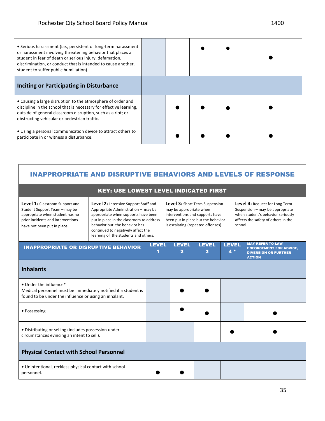| • Serious harassment (i.e., persistent or long-term harassment<br>or harassment involving threatening behavior that places a<br>student in fear of death or serious injury, defamation,<br>discrimination, or conduct that is intended to cause another.<br>student to suffer public humiliation). |  |  |  |
|----------------------------------------------------------------------------------------------------------------------------------------------------------------------------------------------------------------------------------------------------------------------------------------------------|--|--|--|
| <b>Inciting or Participating in Disturbance</b>                                                                                                                                                                                                                                                    |  |  |  |
| • Causing a large disruption to the atmosphere of order and<br>discipline in the school that is necessary for effective learning,<br>outside of general classroom disruption, such as a riot; or<br>obstructing vehicular or pedestrian traffic.                                                   |  |  |  |
| • Using a personal communication device to attract others to<br>participate in or witness a disturbance.                                                                                                                                                                                           |  |  |  |

| <b>KEY: USE LOWEST LEVEL INDICATED FIRST</b>                                                                                                                           |                                                                                                                                                                                                                                                                               |              |                                                                                                                                                                                   |                   |  |                                                                                                                                   |                                                                                                                                                                 |  |  |
|------------------------------------------------------------------------------------------------------------------------------------------------------------------------|-------------------------------------------------------------------------------------------------------------------------------------------------------------------------------------------------------------------------------------------------------------------------------|--------------|-----------------------------------------------------------------------------------------------------------------------------------------------------------------------------------|-------------------|--|-----------------------------------------------------------------------------------------------------------------------------------|-----------------------------------------------------------------------------------------------------------------------------------------------------------------|--|--|
| Level 1: Classroom Support and<br>Student Support Team - may be<br>appropriate when student has no<br>prior incidents and interventions<br>have not been put in place. | Level 2: Intensive Support Staff and<br>Appropriate Administration - may be<br>appropriate when supports have been<br>put in place in the classroom to address<br>behavior but the behavior has<br>continued to negatively affect the<br>learning of the students and others. |              | <b>Level 3:</b> Short Term Suspension -<br>may be appropriate when<br>interventions and supports have<br>been put in place but the behavior<br>is escalating (repeated offenses). |                   |  |                                                                                                                                   | <b>Level 4: Request for Long Term</b><br>Suspension - may be appropriate<br>when student's behavior seriously<br>affects the safety of others in the<br>school. |  |  |
| <b>INAPPROPRIATE OR DISRUPTIVE BEHAVIOR</b>                                                                                                                            |                                                                                                                                                                                                                                                                               | <b>LEVEL</b> | <b>LEVEL</b><br>$\overline{2}$                                                                                                                                                    | <b>LEVEL</b><br>3 |  | <b>MAY REFER TO LAW</b><br><b>LEVEL</b><br><b>ENFORCEMENT FOR ADVICE,</b><br>$4*$<br><b>DIVERSION OR FURTHER</b><br><b>ACTION</b> |                                                                                                                                                                 |  |  |
| <b>Inhalants</b>                                                                                                                                                       |                                                                                                                                                                                                                                                                               |              |                                                                                                                                                                                   |                   |  |                                                                                                                                   |                                                                                                                                                                 |  |  |
| • Under the influence*<br>Medical personnel must be immediately notified if a student is<br>found to be under the influence or using an inhalant.                      |                                                                                                                                                                                                                                                                               |              |                                                                                                                                                                                   |                   |  |                                                                                                                                   |                                                                                                                                                                 |  |  |
| • Possessing                                                                                                                                                           |                                                                                                                                                                                                                                                                               |              |                                                                                                                                                                                   |                   |  |                                                                                                                                   |                                                                                                                                                                 |  |  |
| • Distributing or selling (includes possession under<br>circumstances evincing an intent to sell).                                                                     |                                                                                                                                                                                                                                                                               |              |                                                                                                                                                                                   |                   |  |                                                                                                                                   |                                                                                                                                                                 |  |  |
| <b>Physical Contact with School Personnel</b>                                                                                                                          |                                                                                                                                                                                                                                                                               |              |                                                                                                                                                                                   |                   |  |                                                                                                                                   |                                                                                                                                                                 |  |  |
| • Unintentional, reckless physical contact with school<br>personnel.                                                                                                   |                                                                                                                                                                                                                                                                               |              |                                                                                                                                                                                   |                   |  |                                                                                                                                   |                                                                                                                                                                 |  |  |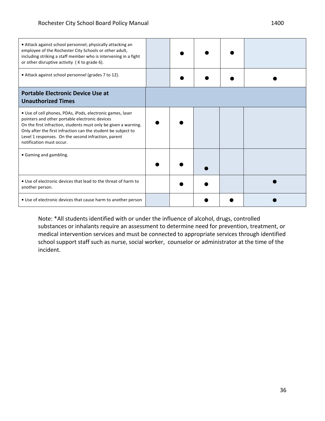| • Attack against school personnel; physically attacking an<br>employee of the Rochester City Schools or other adult,<br>including striking a staff member who is intervening in a fight<br>or other disruptive activity (K to grade 6).                                                                                             |  |  |  |
|-------------------------------------------------------------------------------------------------------------------------------------------------------------------------------------------------------------------------------------------------------------------------------------------------------------------------------------|--|--|--|
| • Attack against school personnel (grades 7 to 12).                                                                                                                                                                                                                                                                                 |  |  |  |
| <b>Portable Electronic Device Use at</b><br><b>Unauthorized Times</b>                                                                                                                                                                                                                                                               |  |  |  |
| • Use of cell phones, PDAs, iPods, electronic games, laser<br>pointers and other portable electronic devices<br>On the first infraction, students must only be given a warning.<br>Only after the first infraction can the student be subject to<br>Level 1 responses. On the second infraction, parent<br>notification must occur. |  |  |  |
| • Gaming and gambling.                                                                                                                                                                                                                                                                                                              |  |  |  |
| • Use of electronic devices that lead to the threat of harm to<br>another person.                                                                                                                                                                                                                                                   |  |  |  |
| • Use of electronic devices that cause harm to another person                                                                                                                                                                                                                                                                       |  |  |  |

Note: \*All students identified with or under the influence of alcohol, drugs, controlled substances or inhalants require an assessment to determine need for prevention, treatment, or medical intervention services and must be connected to appropriate services through identified school support staff such as nurse, social worker, counselor or administrator at the time of the incident.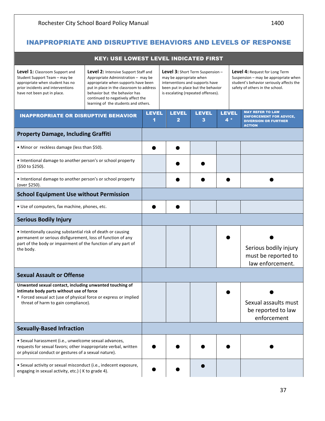# INAPPROPRIATE AND DISRUPTIVE BEHAVIORS AND LEVELS OF RESPONSE

| <b>KEY: USE LOWEST LEVEL INDICATED FIRST</b>                                                                                                                                                                   |                                                                                                                                                                                                                                                                               |                   |                                                                                                                                                                                   |                   |                     |  |                                                                                                                                                              |  |
|----------------------------------------------------------------------------------------------------------------------------------------------------------------------------------------------------------------|-------------------------------------------------------------------------------------------------------------------------------------------------------------------------------------------------------------------------------------------------------------------------------|-------------------|-----------------------------------------------------------------------------------------------------------------------------------------------------------------------------------|-------------------|---------------------|--|--------------------------------------------------------------------------------------------------------------------------------------------------------------|--|
| <b>Level 1:</b> Classroom Support and<br>Student Support Team - may be<br>appropriate when student has no<br>prior incidents and interventions<br>have not been put in place.                                  | Level 2: Intensive Support Staff and<br>Appropriate Administration - may be<br>appropriate when supports have been<br>put in place in the classroom to address<br>behavior but the behavior has<br>continued to negatively affect the<br>learning of the students and others. |                   | <b>Level 3:</b> Short Term Suspension -<br>may be appropriate when<br>interventions and supports have<br>been put in place but the behavior<br>is escalating (repeated offenses). |                   |                     |  | <b>Level 4: Request for Long Term</b><br>Suspension - may be appropriate when<br>student's behavior seriously affects the<br>safety of others in the school. |  |
| <b>INAPPROPRIATE OR DISRUPTIVE BEHAVIOR</b>                                                                                                                                                                    |                                                                                                                                                                                                                                                                               | <b>LEVEL</b><br>1 | <b>LEVEL</b><br>2                                                                                                                                                                 | <b>LEVEL</b><br>3 | <b>LEVEL</b><br>4 * |  | <b>MAY REFER TO LAW</b><br><b>ENFORCEMENT FOR ADVICE,</b><br><b>DIVERSION OR FURTHER</b><br><b>ACTION</b>                                                    |  |
| <b>Property Damage, Including Graffiti</b>                                                                                                                                                                     |                                                                                                                                                                                                                                                                               |                   |                                                                                                                                                                                   |                   |                     |  |                                                                                                                                                              |  |
| • Minor or reckless damage (less than \$50).                                                                                                                                                                   |                                                                                                                                                                                                                                                                               |                   |                                                                                                                                                                                   |                   |                     |  |                                                                                                                                                              |  |
| • Intentional damage to another person's or school property<br>(\$50 to \$250).                                                                                                                                |                                                                                                                                                                                                                                                                               |                   |                                                                                                                                                                                   |                   |                     |  |                                                                                                                                                              |  |
| • Intentional damage to another person's or school property<br>(over \$250).                                                                                                                                   |                                                                                                                                                                                                                                                                               |                   |                                                                                                                                                                                   |                   |                     |  |                                                                                                                                                              |  |
| <b>School Equipment Use without Permission</b>                                                                                                                                                                 |                                                                                                                                                                                                                                                                               |                   |                                                                                                                                                                                   |                   |                     |  |                                                                                                                                                              |  |
| • Use of computers, fax machine, phones, etc.                                                                                                                                                                  |                                                                                                                                                                                                                                                                               |                   |                                                                                                                                                                                   |                   |                     |  |                                                                                                                                                              |  |
| <b>Serious Bodily Injury</b>                                                                                                                                                                                   |                                                                                                                                                                                                                                                                               |                   |                                                                                                                                                                                   |                   |                     |  |                                                                                                                                                              |  |
| • Intentionally causing substantial risk of death or causing<br>permanent or serious disfigurement, loss of function of any<br>part of the body or impairment of the function of any part of<br>the body.      |                                                                                                                                                                                                                                                                               |                   |                                                                                                                                                                                   |                   |                     |  | Serious bodily injury<br>must be reported to<br>law enforcement.                                                                                             |  |
| <b>Sexual Assault or Offense</b>                                                                                                                                                                               |                                                                                                                                                                                                                                                                               |                   |                                                                                                                                                                                   |                   |                     |  |                                                                                                                                                              |  |
| Unwanted sexual contact, including unwanted touching of<br>intimate body parts without use of force<br>• Forced sexual act (use of physical force or express or implied<br>threat of harm to gain compliance). |                                                                                                                                                                                                                                                                               |                   |                                                                                                                                                                                   |                   |                     |  | Sexual assaults must<br>be reported to law<br>enforcement                                                                                                    |  |
| <b>Sexually-Based Infraction</b>                                                                                                                                                                               |                                                                                                                                                                                                                                                                               |                   |                                                                                                                                                                                   |                   |                     |  |                                                                                                                                                              |  |
| · Sexual harassment (i.e., unwelcome sexual advances,<br>requests for sexual favors; other inappropriate verbal, written<br>or physical conduct or gestures of a sexual nature).                               |                                                                                                                                                                                                                                                                               |                   |                                                                                                                                                                                   |                   |                     |  |                                                                                                                                                              |  |
| · Sexual activity or sexual misconduct (i.e., indecent exposure,<br>engaging in sexual activity, etc.) (K to grade 4).                                                                                         |                                                                                                                                                                                                                                                                               |                   |                                                                                                                                                                                   |                   |                     |  |                                                                                                                                                              |  |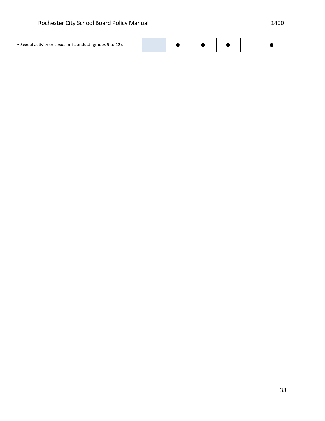$\overline{\phantom{a}}$ 

| • Sexual activity or sexual misconduct (grades 5 to 12). |  |  |  |  |  |
|----------------------------------------------------------|--|--|--|--|--|
|----------------------------------------------------------|--|--|--|--|--|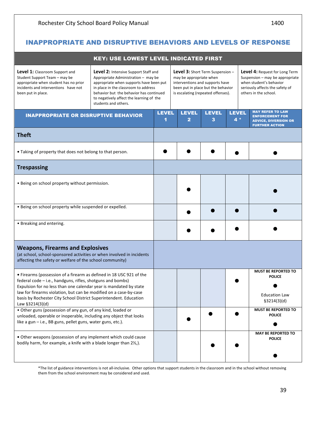## INAPPROPRIATE AND DISRUPTIVE BEHAVIORS AND LEVELS OF RESPONSE

| <b>KEY: USE LOWEST LEVEL INDICATED FIRST</b>                                                                                                                                                                                                                                                                                                                                                                                       |                                                                                                                                                                                                                                                                               |                   |                                                                                                                                                                                   |                   |                       |                                                                                                                                                                 |  |
|------------------------------------------------------------------------------------------------------------------------------------------------------------------------------------------------------------------------------------------------------------------------------------------------------------------------------------------------------------------------------------------------------------------------------------|-------------------------------------------------------------------------------------------------------------------------------------------------------------------------------------------------------------------------------------------------------------------------------|-------------------|-----------------------------------------------------------------------------------------------------------------------------------------------------------------------------------|-------------------|-----------------------|-----------------------------------------------------------------------------------------------------------------------------------------------------------------|--|
| <b>Level 1:</b> Classroom Support and<br>Student Support Team - may be<br>appropriate when student has no prior<br>incidents and interventions have not<br>been put in place.                                                                                                                                                                                                                                                      | Level 2: Intensive Support Staff and<br>Appropriate Administration - may be<br>appropriate when supports have been put<br>in place in the classroom to address<br>behavior but the behavior has continued<br>to negatively affect the learning of the<br>students and others. |                   | <b>Level 3:</b> Short Term Suspension -<br>may be appropriate when<br>interventions and supports have<br>been put in place but the behavior<br>is escalating (repeated offenses). |                   |                       | <b>Level 4: Request for Long Term</b><br>Suspension - may be appropriate<br>when student's behavior<br>seriously affects the safety of<br>others in the school. |  |
| <b>INAPPROPRIATE OR DISRUPTIVE BEHAVIOR</b>                                                                                                                                                                                                                                                                                                                                                                                        |                                                                                                                                                                                                                                                                               | <b>LEVEL</b><br>1 | <b>LEVEL</b><br>$\mathbf{2}$                                                                                                                                                      | <b>LEVEL</b><br>3 | <b>LEVEL</b><br>$4 *$ | <b>MAY REFER TO LAW</b><br><b>ENFORCEMENT FOR</b><br><b>ADVICE, DIVERSION OR</b><br><b>FURTHER ACTION</b>                                                       |  |
| <b>Theft</b>                                                                                                                                                                                                                                                                                                                                                                                                                       |                                                                                                                                                                                                                                                                               |                   |                                                                                                                                                                                   |                   |                       |                                                                                                                                                                 |  |
| • Taking of property that does not belong to that person.                                                                                                                                                                                                                                                                                                                                                                          |                                                                                                                                                                                                                                                                               |                   |                                                                                                                                                                                   |                   |                       |                                                                                                                                                                 |  |
| <b>Trespassing</b>                                                                                                                                                                                                                                                                                                                                                                                                                 |                                                                                                                                                                                                                                                                               |                   |                                                                                                                                                                                   |                   |                       |                                                                                                                                                                 |  |
| • Being on school property without permission.                                                                                                                                                                                                                                                                                                                                                                                     |                                                                                                                                                                                                                                                                               |                   |                                                                                                                                                                                   |                   |                       |                                                                                                                                                                 |  |
| . Being on school property while suspended or expelled.                                                                                                                                                                                                                                                                                                                                                                            |                                                                                                                                                                                                                                                                               |                   |                                                                                                                                                                                   |                   |                       |                                                                                                                                                                 |  |
| • Breaking and entering.                                                                                                                                                                                                                                                                                                                                                                                                           |                                                                                                                                                                                                                                                                               |                   |                                                                                                                                                                                   |                   |                       |                                                                                                                                                                 |  |
| <b>Weapons, Firearms and Explosives</b><br>(at school, school-sponsored activities or when involved in incidents<br>affecting the safety or welfare of the school community)                                                                                                                                                                                                                                                       |                                                                                                                                                                                                                                                                               |                   |                                                                                                                                                                                   |                   |                       |                                                                                                                                                                 |  |
| • Firearms (possession of a firearm as defined in 18 USC 921 of the<br>federal code - i.e., handguns, rifles, shotguns and bombs)<br>Expulsion for no less than one calendar year is mandated by state<br>law for firearms violation, but can be modified on a case-by-case<br>basis by Rochester City School District Superintendent. Education<br>Law §3214(3)(d)<br>• Other guns (possession of any gun, of any kind, loaded or |                                                                                                                                                                                                                                                                               |                   |                                                                                                                                                                                   |                   |                       | <b>MUST BE REPORTED TO</b><br><b>POLICE</b><br><b>Education Law</b><br>\$3214(3)(d)<br><b>MUST BE REPORTED TO</b>                                               |  |
| unloaded, operable or inoperable, including any object that looks<br>like a gun - i.e., BB guns, pellet guns, water guns, etc.).                                                                                                                                                                                                                                                                                                   |                                                                                                                                                                                                                                                                               |                   |                                                                                                                                                                                   |                   |                       | <b>POLICE</b>                                                                                                                                                   |  |
| • Other weapons (possession of any implement which could cause<br>bodily harm, for example, a knife with a blade longer than 21/2,).                                                                                                                                                                                                                                                                                               |                                                                                                                                                                                                                                                                               |                   |                                                                                                                                                                                   |                   |                       | <b>MAY BE REPORTED TO</b><br><b>POLICE</b>                                                                                                                      |  |

\*The list of guidance interventions is not all-inclusive. Other options that support students in the classroom and in the school without removing them from the school environment may be considered and used.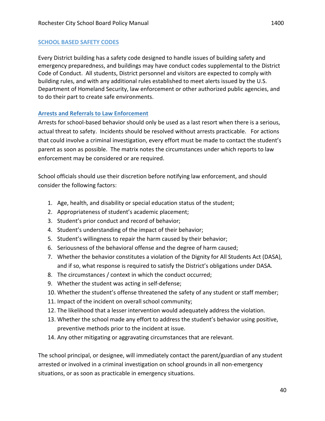#### **SCHOOL BASED SAFETY CODES**

Every District building has a safety code designed to handle issues of building safety and emergency preparedness, and buildings may have conduct codes supplemental to the District Code of Conduct. All students, District personnel and visitors are expected to comply with building rules, and with any additional rules established to meet alerts issued by the U.S. Department of Homeland Security, law enforcement or other authorized public agencies, and to do their part to create safe environments.

#### **Arrests and Referrals to Law Enforcement**

Arrests for school-based behavior should only be used as a last resort when there is a serious, actual threat to safety. Incidents should be resolved without arrests practicable. For actions that could involve a criminal investigation, every effort must be made to contact the student's parent as soon as possible. The matrix notes the circumstances under which reports to law enforcement may be considered or are required.

School officials should use their discretion before notifying law enforcement, and should consider the following factors:

- 1. Age, health, and disability or special education status of the student;
- 2. Appropriateness of student's academic placement;
- 3. Student's prior conduct and record of behavior;
- 4. Student's understanding of the impact of their behavior;
- 5. Student's willingness to repair the harm caused by their behavior;
- 6. Seriousness of the behavioral offense and the degree of harm caused;
- 7. Whether the behavior constitutes a violation of the Dignity for All Students Act (DASA), and if so, what response is required to satisfy the District's obligations under DASA.
- 8. The circumstances / context in which the conduct occurred;
- 9. Whether the student was acting in self-defense;
- 10. Whether the student's offense threatened the safety of any student or staff member;
- 11. Impact of the incident on overall school community;
- 12. The likelihood that a lesser intervention would adequately address the violation.
- 13. Whether the school made any effort to address the student's behavior using positive, preventive methods prior to the incident at issue.
- 14. Any other mitigating or aggravating circumstances that are relevant.

The school principal, or designee, will immediately contact the parent/guardian of any student arrested or involved in a criminal investigation on school grounds in all non-emergency situations, or as soon as practicable in emergency situations.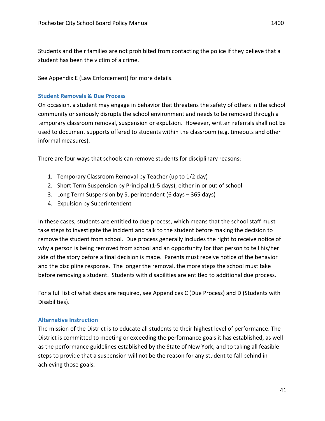Students and their families are not prohibited from contacting the police if they believe that a student has been the victim of a crime.

See Appendix E (Law Enforcement) for more details.

#### **Student Removals & Due Process**

On occasion, a student may engage in behavior that threatens the safety of others in the school community or seriously disrupts the school environment and needs to be removed through a temporary classroom removal, suspension or expulsion. However, written referrals shall not be used to document supports offered to students within the classroom (e.g. timeouts and other informal measures).

There are four ways that schools can remove students for disciplinary reasons:

- 1. Temporary Classroom Removal by Teacher (up to 1/2 day)
- 2. Short Term Suspension by Principal (1-5 days), either in or out of school
- 3. Long Term Suspension by Superintendent (6 days 365 days)
- 4. Expulsion by Superintendent

In these cases, students are entitled to due process, which means that the school staff must take steps to investigate the incident and talk to the student before making the decision to remove the student from school. Due process generally includes the right to receive notice of why a person is being removed from school and an opportunity for that person to tell his/her side of the story before a final decision is made. Parents must receive notice of the behavior and the discipline response. The longer the removal, the more steps the school must take before removing a student. Students with disabilities are entitled to additional due process.

For a full list of what steps are required, see Appendices C (Due Process) and D (Students with Disabilities). 

#### **Alternative Instruction**

The mission of the District is to educate all students to their highest level of performance. The District is committed to meeting or exceeding the performance goals it has established, as well as the performance guidelines established by the State of New York; and to taking all feasible steps to provide that a suspension will not be the reason for any student to fall behind in achieving those goals.

41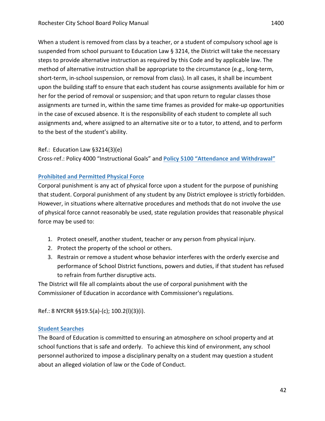When a student is removed from class by a teacher, or a student of compulsory school age is suspended from school pursuant to Education Law  $\S$  3214, the District will take the necessary steps to provide alternative instruction as required by this Code and by applicable law. The method of alternative instruction shall be appropriate to the circumstance (e.g., long-term, short-term, in-school suspension, or removal from class). In all cases, it shall be incumbent upon the building staff to ensure that each student has course assignments available for him or her for the period of removal or suspension; and that upon return to regular classes those assignments are turned in, within the same time frames as provided for make-up opportunities in the case of excused absence. It is the responsibility of each student to complete all such assignments and, where assigned to an alternative site or to a tutor, to attend, and to perform to the best of the student's ability.

#### Ref.: Education Law  $\S 3214(3)(e)$

Cross-ref.: Policy 4000 "Instructional Goals" and **Policy 5100 "Attendance and Withdrawal"** 

#### **Prohibited and Permitted Physical Force**

Corporal punishment is any act of physical force upon a student for the purpose of punishing that student. Corporal punishment of any student by any District employee is strictly forbidden. However, in situations where alternative procedures and methods that do not involve the use of physical force cannot reasonably be used, state regulation provides that reasonable physical force may be used to:

- 1. Protect oneself, another student, teacher or any person from physical injury.
- 2. Protect the property of the school or others.
- 3. Restrain or remove a student whose behavior interferes with the orderly exercise and performance of School District functions, powers and duties, if that student has refused to refrain from further disruptive acts.

The District will file all complaints about the use of corporal punishment with the Commissioner of Education in accordance with Commissioner's regulations.

Ref.: 8 NYCRR §§19.5(a)-(c); 100.2(l)(3)(i).

#### **Student Searches**

The Board of Education is committed to ensuring an atmosphere on school property and at school functions that is safe and orderly. To achieve this kind of environment, any school personnel authorized to impose a disciplinary penalty on a student may question a student about an alleged violation of law or the Code of Conduct.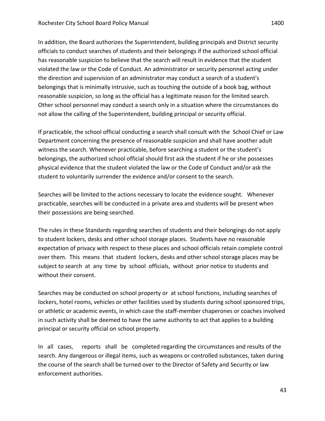In addition, the Board authorizes the Superintendent, building principals and District security officials to conduct searches of students and their belongings if the authorized school official has reasonable suspicion to believe that the search will result in evidence that the student violated the law or the Code of Conduct. An administrator or security personnel acting under the direction and supervision of an administrator may conduct a search of a student's belongings that is minimally intrusive, such as touching the outside of a book bag, without reasonable suspicion, so long as the official has a legitimate reason for the limited search. Other school personnel may conduct a search only in a situation where the circumstances do not allow the calling of the Superintendent, building principal or security official.

If practicable, the school official conducting a search shall consult with the School Chief or Law Department concerning the presence of reasonable suspicion and shall have another adult witness the search. Whenever practicable, before searching a student or the student's belongings, the authorized school official should first ask the student if he or she possesses physical evidence that the student violated the law or the Code of Conduct and/or ask the student to voluntarily surrender the evidence and/or consent to the search.

Searches will be limited to the actions necessary to locate the evidence sought. Whenever practicable, searches will be conducted in a private area and students will be present when their possessions are being searched.

The rules in these Standards regarding searches of students and their belongings do not apply to student lockers, desks and other school storage places. Students have no reasonable expectation of privacy with respect to these places and school officials retain complete control over them. This means that student lockers, desks and other school storage places may be subject to search at any time by school officials, without prior notice to students and without their consent.

Searches may be conducted on school property or at school functions, including searches of lockers, hotel rooms, vehicles or other facilities used by students during school sponsored trips, or athletic or academic events, in which case the staff-member chaperones or coaches involved in such activity shall be deemed to have the same authority to act that applies to a building principal or security official on school property.

In all cases, reports shall be completed regarding the circumstances and results of the search. Any dangerous or illegal items, such as weapons or controlled substances, taken during the course of the search shall be turned over to the Director of Safety and Security or law enforcement authorities.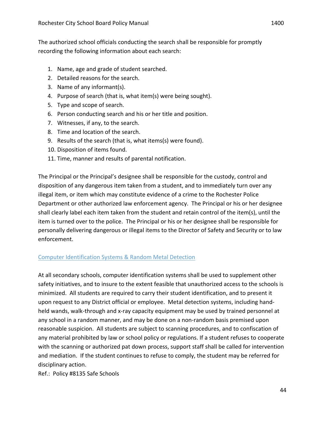The authorized school officials conducting the search shall be responsible for promptly recording the following information about each search:

- 1. Name, age and grade of student searched.
- 2. Detailed reasons for the search.
- 3. Name of any informant(s).
- 4. Purpose of search (that is, what item(s) were being sought).
- 5. Type and scope of search.
- 6. Person conducting search and his or her title and position.
- 7. Witnesses, if any, to the search.
- 8. Time and location of the search.
- 9. Results of the search (that is, what items(s) were found).
- 10. Disposition of items found.
- 11. Time, manner and results of parental notification.

The Principal or the Principal's designee shall be responsible for the custody, control and disposition of any dangerous item taken from a student, and to immediately turn over any illegal item, or item which may constitute evidence of a crime to the Rochester Police Department or other authorized law enforcement agency. The Principal or his or her designee shall clearly label each item taken from the student and retain control of the item(s), until the item is turned over to the police. The Principal or his or her designee shall be responsible for personally delivering dangerous or illegal items to the Director of Safety and Security or to law enforcement. 

## Computer Identification Systems & Random Metal Detection

At all secondary schools, computer identification systems shall be used to supplement other safety initiatives, and to insure to the extent feasible that unauthorized access to the schools is minimized. All students are required to carry their student identification, and to present it upon request to any District official or employee. Metal detection systems, including handheld wands, walk-through and x-ray capacity equipment may be used by trained personnel at any school in a random manner, and may be done on a non-random basis premised upon reasonable suspicion. All students are subject to scanning procedures, and to confiscation of any material prohibited by law or school policy or regulations. If a student refuses to cooperate with the scanning or authorized pat down process, support staff shall be called for intervention and mediation. If the student continues to refuse to comply, the student may be referred for disciplinary action.

Ref.: Policy #8135 Safe Schools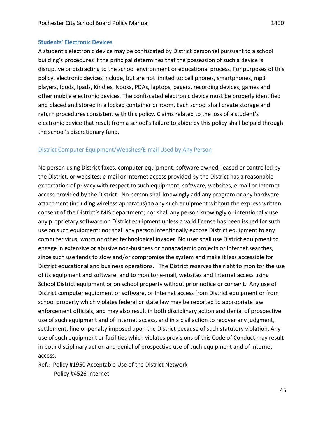#### **Students' Electronic Devices**

A student's electronic device may be confiscated by District personnel pursuant to a school building's procedures if the principal determines that the possession of such a device is disruptive or distracting to the school environment or educational process. For purposes of this policy, electronic devices include, but are not limited to: cell phones, smartphones, mp3 players, Ipods, Ipads, Kindles, Nooks, PDAs, laptops, pagers, recording devices, games and other mobile electronic devices. The confiscated electronic device must be properly identified and placed and stored in a locked container or room. Each school shall create storage and return procedures consistent with this policy. Claims related to the loss of a student's electronic device that result from a school's failure to abide by this policy shall be paid through the school's discretionary fund.

#### District Computer Equipment/Websites/E-mail Used by Any Person

No person using District faxes, computer equipment, software owned, leased or controlled by the District, or websites, e-mail or Internet access provided by the District has a reasonable expectation of privacy with respect to such equipment, software, websites, e-mail or Internet access provided by the District. No person shall knowingly add any program or any hardware attachment (including wireless apparatus) to any such equipment without the express written consent of the District's MIS department; nor shall any person knowingly or intentionally use any proprietary software on District equipment unless a valid license has been issued for such use on such equipment; nor shall any person intentionally expose District equipment to any computer virus, worm or other technological invader. No user shall use District equipment to engage in extensive or abusive non-business or nonacademic projects or Internet searches, since such use tends to slow and/or compromise the system and make it less accessible for District educational and business operations. The District reserves the right to monitor the use of its equipment and software, and to monitor e-mail, websites and Internet access using School District equipment or on school property without prior notice or consent. Any use of District computer equipment or software, or Internet access from District equipment or from school property which violates federal or state law may be reported to appropriate law enforcement officials, and may also result in both disciplinary action and denial of prospective use of such equipment and of Internet access, and in a civil action to recover any judgment, settlement, fine or penalty imposed upon the District because of such statutory violation. Any use of such equipment or facilities which violates provisions of this Code of Conduct may result in both disciplinary action and denial of prospective use of such equipment and of Internet access. 

Ref.: Policy #1950 Acceptable Use of the District Network Policy #4526 Internet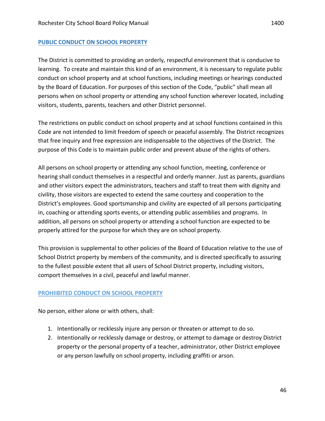#### **PUBLIC CONDUCT ON SCHOOL PROPERTY**

The District is committed to providing an orderly, respectful environment that is conducive to learning. To create and maintain this kind of an environment, it is necessary to regulate public conduct on school property and at school functions, including meetings or hearings conducted by the Board of Education. For purposes of this section of the Code, "public" shall mean all persons when on school property or attending any school function wherever located, including visitors, students, parents, teachers and other District personnel.

The restrictions on public conduct on school property and at school functions contained in this Code are not intended to limit freedom of speech or peaceful assembly. The District recognizes that free inquiry and free expression are indispensable to the objectives of the District. The purpose of this Code is to maintain public order and prevent abuse of the rights of others.

All persons on school property or attending any school function, meeting, conference or hearing shall conduct themselves in a respectful and orderly manner. Just as parents, guardians and other visitors expect the administrators, teachers and staff to treat them with dignity and civility, those visitors are expected to extend the same courtesy and cooperation to the District's employees. Good sportsmanship and civility are expected of all persons participating in, coaching or attending sports events, or attending public assemblies and programs. In addition, all persons on school property or attending a school function are expected to be properly attired for the purpose for which they are on school property.

This provision is supplemental to other policies of the Board of Education relative to the use of School District property by members of the community, and is directed specifically to assuring to the fullest possible extent that all users of School District property, including visitors, comport themselves in a civil, peaceful and lawful manner.

#### **PROHIIBITED CONDUCT ON SCHOOL PROPERTY**

No person, either alone or with others, shall:

- 1. Intentionally or recklessly injure any person or threaten or attempt to do so.
- 2. Intentionally or recklessly damage or destroy, or attempt to damage or destroy District property or the personal property of a teacher, administrator, other District employee or any person lawfully on school property, including graffiti or arson.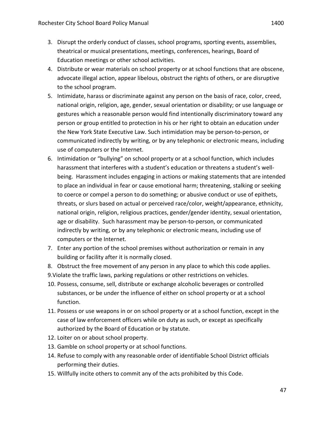- 3. Disrupt the orderly conduct of classes, school programs, sporting events, assemblies,
	- theatrical or musical presentations, meetings, conferences, hearings, Board of Education meetings or other school activities.
- 4. Distribute or wear materials on school property or at school functions that are obscene, advocate illegal action, appear libelous, obstruct the rights of others, or are disruptive to the school program.
- 5. Intimidate, harass or discriminate against any person on the basis of race, color, creed, national origin, religion, age, gender, sexual orientation or disability; or use language or gestures which a reasonable person would find intentionally discriminatory toward any person or group entitled to protection in his or her right to obtain an education under the New York State Executive Law. Such intimidation may be person-to-person, or communicated indirectly by writing, or by any telephonic or electronic means, including use of computers or the Internet.
- 6. Intimidation or "bullying" on school property or at a school function, which includes harassment that interferes with a student's education or threatens a student's wellbeing. Harassment includes engaging in actions or making statements that are intended to place an individual in fear or cause emotional harm; threatening, stalking or seeking to coerce or compel a person to do something; or abusive conduct or use of epithets, threats, or slurs based on actual or perceived race/color, weight/appearance, ethnicity, national origin, religion, religious practices, gender/gender identity, sexual orientation, age or disability. Such harassment may be person-to-person, or communicated indirectly by writing, or by any telephonic or electronic means, including use of computers or the Internet.
- 7. Enter any portion of the school premises without authorization or remain in any building or facility after it is normally closed.
- 8. Obstruct the free movement of any person in any place to which this code applies.
- 9. Violate the traffic laws, parking regulations or other restrictions on vehicles.
- 10. Possess, consume, sell, distribute or exchange alcoholic beverages or controlled substances, or be under the influence of either on school property or at a school function.
- 11. Possess or use weapons in or on school property or at a school function, except in the case of law enforcement officers while on duty as such, or except as specifically authorized by the Board of Education or by statute.
- 12. Loiter on or about school property.
- 13. Gamble on school property or at school functions.
- 14. Refuse to comply with any reasonable order of identifiable School District officials performing their duties.
- 15. Willfully incite others to commit any of the acts prohibited by this Code.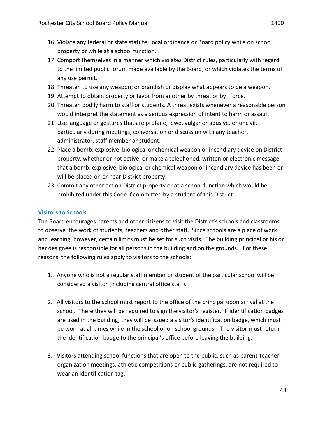- 16. Violate any federal or state statute, local ordinance or Board policy while on school property or while at a school function.
- 17. Comport themselves in a manner which violates District rules, particularly with regard to the limited public forum made available by the Board; or which violates the terms of any use permit.
- 18. Threaten to use any weapon; or brandish or display what appears to be a weapon.
- 19. Attempt to obtain property or favor from another by threat or by force.
- 20. Threaten bodily harm to staff or students. A threat exists whenever a reasonable person would interpret the statement as a serious expression of intent to harm or assault.
- 21. Use language or gestures that are profane, lewd, vulgar or abusive, or uncivil, particularly during meetings, conversation or discussion with any teacher, administrator, staff member or student.
- 22. Place a bomb, explosive, biological or chemical weapon or incendiary device on District property, whether or not active; or make a telephoned, written or electronic message that a bomb, explosive, biological or chemical weapon or incendiary device has been or will be placed on or near District property.
- 23. Commit any other act on District property or at a school function which would be prohibited under this Code if committed by a student of this District

#### **Visitors to Schools**

The Board encourages parents and other citizens to visit the District's schools and classrooms to observe the work of students, teachers and other staff. Since schools are a place of work and learning, however, certain limits must be set for such visits. The building principal or his or her designee is responsible for all persons in the building and on the grounds. For these reasons, the following rules apply to visitors to the schools:

- 1. Anyone who is not a regular staff member or student of the particular school will be considered a visitor (including central office staff).
- 2. All visitors to the school must report to the office of the principal upon arrival at the school. There they will be required to sign the visitor's register. If identification badges are used in the building, they will be issued a visitor's identification badge, which must be worn at all times while in the school or on school grounds. The visitor must return the identification badge to the principal's office before leaving the building.
- 3. Visitors attending school functions that are open to the public, such as parent-teacher organization meetings, athletic competitions or public gatherings, are not required to wear an identification tag.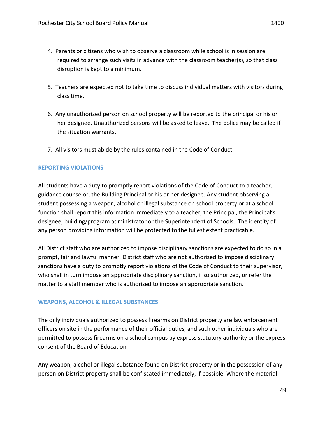- 4. Parents or citizens who wish to observe a classroom while school is in session are required to arrange such visits in advance with the classroom teacher(s), so that class disruption is kept to a minimum.
- 5. Teachers are expected not to take time to discuss individual matters with visitors during class time.
- 6. Any unauthorized person on school property will be reported to the principal or his or her designee. Unauthorized persons will be asked to leave. The police may be called if the situation warrants.
- 7. All visitors must abide by the rules contained in the Code of Conduct.

#### **REPORTING VIOLATIONS**

All students have a duty to promptly report violations of the Code of Conduct to a teacher, guidance counselor, the Building Principal or his or her designee. Any student observing a student possessing a weapon, alcohol or illegal substance on school property or at a school function shall report this information immediately to a teacher, the Principal, the Principal's designee, building/program administrator or the Superintendent of Schools. The identity of any person providing information will be protected to the fullest extent practicable.

All District staff who are authorized to impose disciplinary sanctions are expected to do so in a prompt, fair and lawful manner. District staff who are not authorized to impose disciplinary sanctions have a duty to promptly report violations of the Code of Conduct to their supervisor, who shall in turn impose an appropriate disciplinary sanction, if so authorized, or refer the matter to a staff member who is authorized to impose an appropriate sanction.

#### **WEAPONS, ALCOHOL & ILLEGAL SUBSTANCES**

The only individuals authorized to possess firearms on District property are law enforcement officers on site in the performance of their official duties, and such other individuals who are permitted to possess firearms on a school campus by express statutory authority or the express consent of the Board of Education.

Any weapon, alcohol or illegal substance found on District property or in the possession of any person on District property shall be confiscated immediately, if possible. Where the material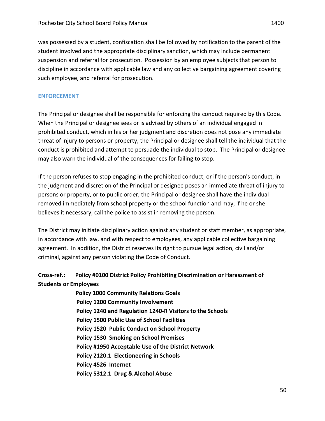was possessed by a student, confiscation shall be followed by notification to the parent of the student involved and the appropriate disciplinary sanction, which may include permanent suspension and referral for prosecution. Possession by an employee subjects that person to discipline in accordance with applicable law and any collective bargaining agreement covering such employee, and referral for prosecution.

#### **ENFORCEMENT**

The Principal or designee shall be responsible for enforcing the conduct required by this Code. When the Principal or designee sees or is advised by others of an individual engaged in prohibited conduct, which in his or her judgment and discretion does not pose any immediate threat of injury to persons or property, the Principal or designee shall tell the individual that the conduct is prohibited and attempt to persuade the individual to stop. The Principal or designee may also warn the individual of the consequences for failing to stop.

If the person refuses to stop engaging in the prohibited conduct, or if the person's conduct, in the judgment and discretion of the Principal or designee poses an immediate threat of injury to persons or property, or to public order, the Principal or designee shall have the individual removed immediately from school property or the school function and may, if he or she believes it necessary, call the police to assist in removing the person.

The District may initiate disciplinary action against any student or staff member, as appropriate, in accordance with law, and with respect to employees, any applicable collective bargaining agreement. In addition, the District reserves its right to pursue legal action, civil and/or criminal, against any person violating the Code of Conduct.

## Cross-ref.: Policy #0100 District Policy Prohibiting Discrimination or Harassment of **Students or Employees**

**Policy 1000 Community Relations Goals Policy 1200 Community Involvement** Policy 1240 and Regulation 1240-R Visitors to the Schools **Policy 1500 Public Use of School Facilities Policy 1520 Public Conduct on School Property Policy 1530 Smoking on School Premises Policy #1950 Acceptable Use of the District Network Policy 2120.1 Electioneering in Schools Policy 4526 Internet Policy 5312.1 Drug & Alcohol Abuse**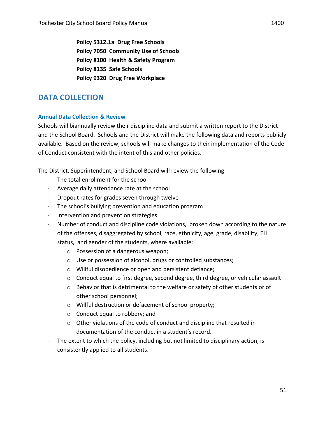Policy 5312.1a Drug Free Schools **Policy 7050 Community Use of Schools Policy 8100 Health & Safety Program Policy 8135 Safe Schools Policy 9320 Drug Free Workplace**

# **DATA COLLECTION**

#### **Annual Data Collection & Review**

Schools will biannually review their discipline data and submit a written report to the District and the School Board. Schools and the District will make the following data and reports publicly available. Based on the review, schools will make changes to their implementation of the Code of Conduct consistent with the intent of this and other policies.

The District, Superintendent, and School Board will review the following:

- The total enrollment for the school
- Average daily attendance rate at the school
- Dropout rates for grades seven through twelve
- The school's bullying prevention and education program
- Intervention and prevention strategies.
- Number of conduct and discipline code violations, broken down according to the nature of the offenses, disaggregated by school, race, ethnicity, age, grade, disability, ELL status, and gender of the students, where available:
	- $\circ$  Possession of a dangerous weapon;
	- o Use or possession of alcohol, drugs or controlled substances;
	- $\circ$  Willful disobedience or open and persistent defiance;
	- $\circ$  Conduct equal to first degree, second degree, third degree, or vehicular assault
	- $\circ$  Behavior that is detrimental to the welfare or safety of other students or of other school personnel;
	- $\circ$  Willful destruction or defacement of school property;
	- $\circ$  Conduct equal to robbery; and
	- $\circ$  Other violations of the code of conduct and discipline that resulted in documentation of the conduct in a student's record.
- The extent to which the policy, including but not limited to disciplinary action, is consistently applied to all students.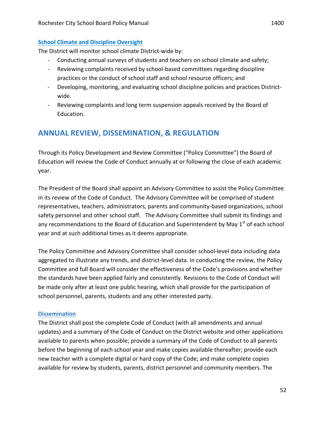The District will monitor school climate District-wide by:

- Conducting annual surveys of students and teachers on school climate and safety;
- Reviewing complaints received by school-based committees regarding discipline practices or the conduct of school staff and school resource officers; and
- Developing, monitoring, and evaluating school discipline policies and practices Districtwide.
- Reviewing complaints and long term suspension appeals received by the Board of Education.

# **ANNUAL REVIEW, DISSEMINATION, & REGULATION**

Through its Policy Development and Review Committee ("Policy Committee") the Board of Education will review the Code of Conduct annually at or following the close of each academic year. 

The President of the Board shall appoint an Advisory Committee to assist the Policy Committee in its review of the Code of Conduct. The Advisory Committee will be comprised of student representatives, teachers, administrators, parents and community-based organizations, school safety personnel and other school staff. The Advisory Committee shall submit its findings and any recommendations to the Board of Education and Superintendent by May  $1<sup>st</sup>$  of each school year and at such additional times as it deems appropriate.

The Policy Committee and Advisory Committee shall consider school-level data including data aggregated to illustrate any trends, and district-level data. In conducting the review, the Policy Committee and full Board will consider the effectiveness of the Code's provisions and whether the standards have been applied fairly and consistently. Revisions to the Code of Conduct will be made only after at least one public hearing, which shall provide for the participation of school personnel, parents, students and any other interested party.

#### **Dissemination**

The District shall post the complete Code of Conduct (with all amendments and annual updates) and a summary of the Code of Conduct on the District website and other applications available to parents when possible; provide a summary of the Code of Conduct to all parents before the beginning of each school year and make copies available thereafter; provide each new teacher with a complete digital or hard copy of the Code; and make complete copies available for review by students, parents, district personnel and community members. The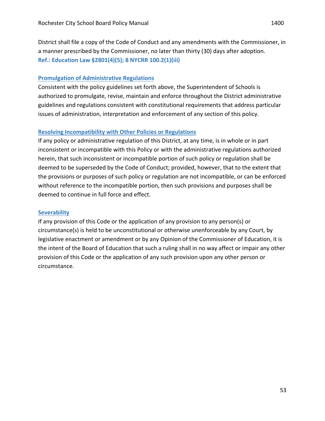District shall file a copy of the Code of Conduct and any amendments with the Commissioner, in a manner prescribed by the Commissioner, no later than thirty (30) days after adoption. **Ref.: Education Law §2801(4)(5); 8 NYCRR 100.2(1)(iii)** 

#### **Promulgation of Administrative Regulations**

Consistent with the policy guidelines set forth above, the Superintendent of Schools is authorized to promulgate, revise, maintain and enforce throughout the District administrative guidelines and regulations consistent with constitutional requirements that address particular issues of administration, interpretation and enforcement of any section of this policy.

#### **Resolving Incompatibility with Other Policies or Regulations**

If any policy or administrative regulation of this District, at any time, is in whole or in part inconsistent or incompatible with this Policy or with the administrative regulations authorized herein, that such inconsistent or incompatible portion of such policy or regulation shall be deemed to be superseded by the Code of Conduct; provided, however, that to the extent that the provisions or purposes of such policy or regulation are not incompatible, or can be enforced without reference to the incompatible portion, then such provisions and purposes shall be deemed to continue in full force and effect.

#### **Severability**

If any provision of this Code or the application of any provision to any person(s) or circumstance(s) is held to be unconstitutional or otherwise unenforceable by any Court, by legislative enactment or amendment or by any Opinion of the Commissioner of Education, it is the intent of the Board of Education that such a ruling shall in no way affect or impair any other provision of this Code or the application of any such provision upon any other person or circumstance.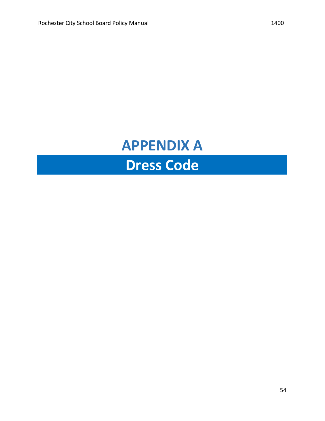# **APPENDIX A Dress Code**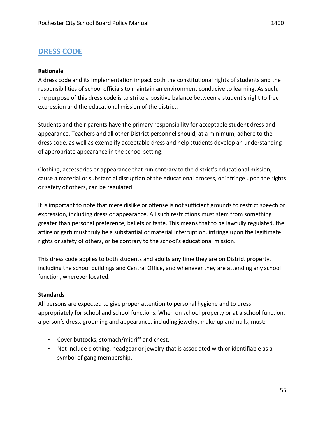# **DRESS CODE**

#### **Rationale**

A dress code and its implementation impact both the constitutional rights of students and the responsibilities of school officials to maintain an environment conducive to learning. As such, the purpose of this dress code is to strike a positive balance between a student's right to free expression and the educational mission of the district.

Students and their parents have the primary responsibility for acceptable student dress and appearance. Teachers and all other District personnel should, at a minimum, adhere to the dress code, as well as exemplify acceptable dress and help students develop an understanding of appropriate appearance in the school setting.

Clothing, accessories or appearance that run contrary to the district's educational mission, cause a material or substantial disruption of the educational process, or infringe upon the rights or safety of others, can be regulated.

It is important to note that mere dislike or offense is not sufficient grounds to restrict speech or expression, including dress or appearance. All such restrictions must stem from something greater than personal preference, beliefs or taste. This means that to be lawfully regulated, the attire or garb must truly be a substantial or material interruption, infringe upon the legitimate rights or safety of others, or be contrary to the school's educational mission.

This dress code applies to both students and adults any time they are on District property, including the school buildings and Central Office, and whenever they are attending any school function, wherever located.

#### **Standards**

All persons are expected to give proper attention to personal hygiene and to dress appropriately for school and school functions. When on school property or at a school function, a person's dress, grooming and appearance, including jewelry, make-up and nails, must:

- Cover buttocks, stomach/midriff and chest.
- Not include clothing, headgear or jewelry that is associated with or identifiable as a symbol of gang membership.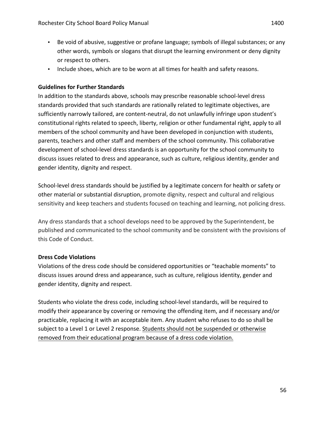- Be void of abusive, suggestive or profane language; symbols of illegal substances; or any other words, symbols or slogans that disrupt the learning environment or deny dignity or respect to others.
- Include shoes, which are to be worn at all times for health and safety reasons.

#### **Guidelines for Further Standards**

In addition to the standards above, schools may prescribe reasonable school-level dress standards provided that such standards are rationally related to legitimate objectives, are sufficiently narrowly tailored, are content-neutral, do not unlawfully infringe upon student's constitutional rights related to speech, liberty, religion or other fundamental right, apply to all members of the school community and have been developed in conjunction with students, parents, teachers and other staff and members of the school community. This collaborative development of school-level dress standards is an opportunity for the school community to discuss issues related to dress and appearance, such as culture, religious identity, gender and gender identity, dignity and respect.

School-level dress standards should be justified by a legitimate concern for health or safety or other material or substantial disruption, promote dignity, respect and cultural and religious sensitivity and keep teachers and students focused on teaching and learning, not policing dress.

Any dress standards that a school develops need to be approved by the Superintendent, be published and communicated to the school community and be consistent with the provisions of this Code of Conduct.

## **Dress Code Violations**

Violations of the dress code should be considered opportunities or "teachable moments" to discuss issues around dress and appearance, such as culture, religious identity, gender and gender identity, dignity and respect.

Students who violate the dress code, including school-level standards, will be required to modify their appearance by covering or removing the offending item, and if necessary and/or practicable, replacing it with an acceptable item. Any student who refuses to do so shall be subject to a Level 1 or Level 2 response. Students should not be suspended or otherwise removed from their educational program because of a dress code violation.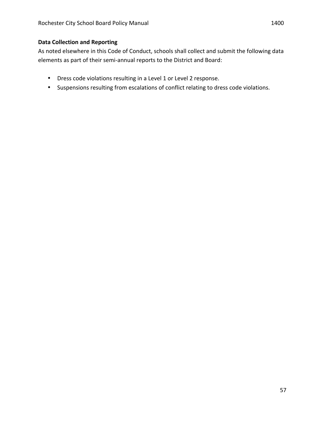#### **Data Collection and Reporting**

As noted elsewhere in this Code of Conduct, schools shall collect and submit the following data elements as part of their semi-annual reports to the District and Board:

- Dress code violations resulting in a Level 1 or Level 2 response.
- Suspensions resulting from escalations of conflict relating to dress code violations.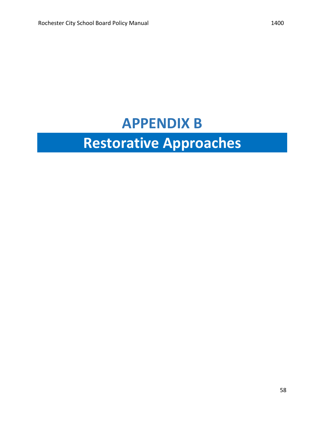# **APPENDIX B Restorative Approaches**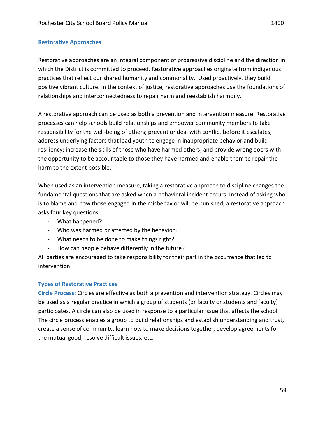#### **Restorative Approaches**

Restorative approaches are an integral component of progressive discipline and the direction in which the District is committed to proceed. Restorative approaches originate from indigenous practices that reflect our shared humanity and commonality. Used proactively, they build positive vibrant culture. In the context of justice, restorative approaches use the foundations of relationships and interconnectedness to repair harm and reestablish harmony.

A restorative approach can be used as both a prevention and intervention measure. Restorative processes can help schools build relationships and empower community members to take responsibility for the well-being of others; prevent or deal with conflict before it escalates; address underlying factors that lead youth to engage in inappropriate behavior and build resiliency; increase the skills of those who have harmed others; and provide wrong doers with the opportunity to be accountable to those they have harmed and enable them to repair the harm to the extent possible.

When used as an intervention measure, taking a restorative approach to discipline changes the fundamental questions that are asked when a behavioral incident occurs. Instead of asking who is to blame and how those engaged in the misbehavior will be punished, a restorative approach asks four key questions:

- What happened?
- Who was harmed or affected by the behavior?
- What needs to be done to make things right?
- How can people behave differently in the future?

All parties are encouraged to take responsibility for their part in the occurrence that led to intervention.

#### **Types of Restorative Practices**

Circle Process: Circles are effective as both a prevention and intervention strategy. Circles may be used as a regular practice in which a group of students (or faculty or students and faculty) participates. A circle can also be used in response to a particular issue that affects the school. The circle process enables a group to build relationships and establish understanding and trust, create a sense of community, learn how to make decisions together, develop agreements for the mutual good, resolve difficult issues, etc.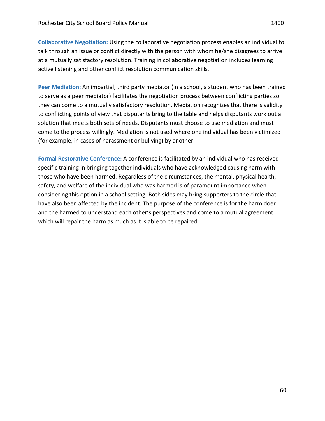**Collaborative Negotiation:** Using the collaborative negotiation process enables an individual to talk through an issue or conflict directly with the person with whom he/she disagrees to arrive at a mutually satisfactory resolution. Training in collaborative negotiation includes learning active listening and other conflict resolution communication skills.

Peer Mediation: An impartial, third party mediator (in a school, a student who has been trained to serve as a peer mediator) facilitates the negotiation process between conflicting parties so they can come to a mutually satisfactory resolution. Mediation recognizes that there is validity to conflicting points of view that disputants bring to the table and helps disputants work out a solution that meets both sets of needs. Disputants must choose to use mediation and must come to the process willingly. Mediation is not used where one individual has been victimized (for example, in cases of harassment or bullying) by another.

Formal Restorative Conference: A conference is facilitated by an individual who has received specific training in bringing together individuals who have acknowledged causing harm with those who have been harmed. Regardless of the circumstances, the mental, physical health, safety, and welfare of the individual who was harmed is of paramount importance when considering this option in a school setting. Both sides may bring supporters to the circle that have also been affected by the incident. The purpose of the conference is for the harm doer and the harmed to understand each other's perspectives and come to a mutual agreement which will repair the harm as much as it is able to be repaired.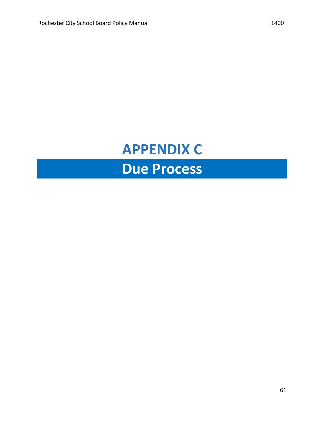# **APPENDIX C Due Process**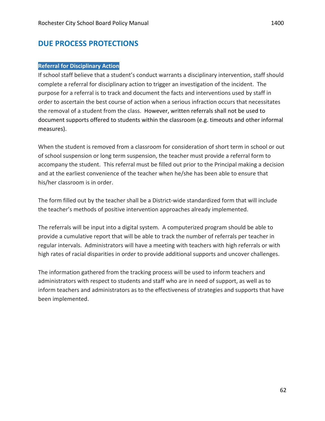## **DUE PROCESS PROTECTIONS**

#### **Referral for Disciplinary Action**

If school staff believe that a student's conduct warrants a disciplinary intervention, staff should complete a referral for disciplinary action to trigger an investigation of the incident. The purpose for a referral is to track and document the facts and interventions used by staff in order to ascertain the best course of action when a serious infraction occurs that necessitates the removal of a student from the class. However, written referrals shall not be used to document supports offered to students within the classroom (e.g. timeouts and other informal measures).

When the student is removed from a classroom for consideration of short term in school or out of school suspension or long term suspension, the teacher must provide a referral form to accompany the student. This referral must be filled out prior to the Principal making a decision and at the earliest convenience of the teacher when he/she has been able to ensure that his/her classroom is in order.

The form filled out by the teacher shall be a District-wide standardized form that will include the teacher's methods of positive intervention approaches already implemented.

The referrals will be input into a digital system. A computerized program should be able to provide a cumulative report that will be able to track the number of referrals per teacher in regular intervals. Administrators will have a meeting with teachers with high referrals or with high rates of racial disparities in order to provide additional supports and uncover challenges.

The information gathered from the tracking process will be used to inform teachers and administrators with respect to students and staff who are in need of support, as well as to inform teachers and administrators as to the effectiveness of strategies and supports that have been implemented.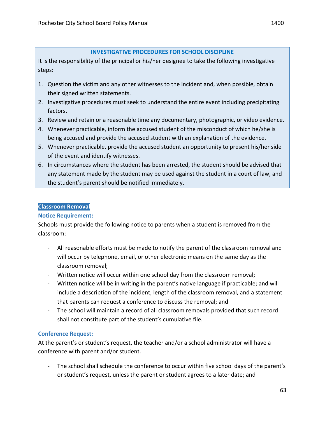#### **INVESTIGATIVE PROCEDURES FOR SCHOOL DISCIPLINE**

It is the responsibility of the principal or his/her designee to take the following investigative steps:

- 1. Question the victim and any other witnesses to the incident and, when possible, obtain their signed written statements.
- 2. Investigative procedures must seek to understand the entire event including precipitating factors.
- 3. Review and retain or a reasonable time any documentary, photographic, or video evidence.
- 4. Whenever practicable, inform the accused student of the misconduct of which he/she is being accused and provide the accused student with an explanation of the evidence.
- 5. Whenever practicable, provide the accused student an opportunity to present his/her side of the event and identify witnesses.
- 6. In circumstances where the student has been arrested, the student should be advised that any statement made by the student may be used against the student in a court of law, and the student's parent should be notified immediately.

#### **Classroom Removal**

#### **Notice Requirement:**

Schools must provide the following notice to parents when a student is removed from the classroom:

- All reasonable efforts must be made to notify the parent of the classroom removal and will occur by telephone, email, or other electronic means on the same day as the classroom removal;
- Written notice will occur within one school day from the classroom removal;
- Written notice will be in writing in the parent's native language if practicable; and will include a description of the incident, length of the classroom removal, and a statement that parents can request a conference to discuss the removal; and
- The school will maintain a record of all classroom removals provided that such record shall not constitute part of the student's cumulative file.

#### **Conference Request:**

At the parent's or student's request, the teacher and/or a school administrator will have a conference with parent and/or student.

- The school shall schedule the conference to occur within five school days of the parent's or student's request, unless the parent or student agrees to a later date; and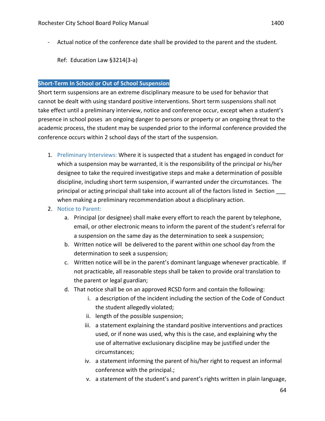- Actual notice of the conference date shall be provided to the parent and the student.

Ref: Education Law §3214(3-a)

#### **Short-Term In School or Out of School Suspension**

Short term suspensions are an extreme disciplinary measure to be used for behavior that cannot be dealt with using standard positive interventions. Short term suspensions shall not take effect until a preliminary interview, notice and conference occur, except when a student's presence in school poses an ongoing danger to persons or property or an ongoing threat to the academic process, the student may be suspended prior to the informal conference provided the conference occurs within 2 school days of the start of the suspension.

1. Preliminary Interviews: Where it is suspected that a student has engaged in conduct for which a suspension may be warranted, it is the responsibility of the principal or his/her designee to take the required investigative steps and make a determination of possible discipline, including short term suspension, if warranted under the circumstances. The principal or acting principal shall take into account all of the factors listed in Section when making a preliminary recommendation about a disciplinary action.

#### 2. Notice to Parent:

- a. Principal (or designee) shall make every effort to reach the parent by telephone, email, or other electronic means to inform the parent of the student's referral for a suspension on the same day as the determination to seek a suspension;
- b. Written notice will be delivered to the parent within one school day from the determination to seek a suspension;
- c. Written notice will be in the parent's dominant language whenever practicable. If not practicable, all reasonable steps shall be taken to provide oral translation to the parent or legal guardian;
- d. That notice shall be on an approved RCSD form and contain the following:
	- i. a description of the incident including the section of the Code of Conduct the student allegedly violated;
	- ii. length of the possible suspension;
	- iii. a statement explaining the standard positive interventions and practices used, or if none was used, why this is the case, and explaining why the use of alternative exclusionary discipline may be justified under the circumstances;
	- iv. a statement informing the parent of his/her right to request an informal conference with the principal.;
	- v. a statement of the student's and parent's rights written in plain language,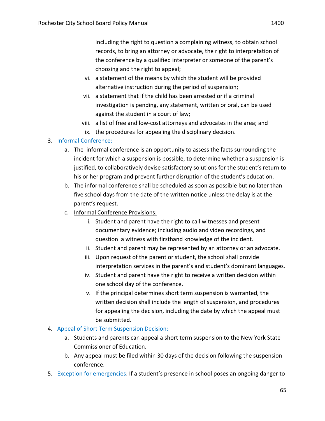including the right to question a complaining witness, to obtain school records, to bring an attorney or advocate, the right to interpretation of the conference by a qualified interpreter or someone of the parent's choosing and the right to appeal;

- vi. a statement of the means by which the student will be provided alternative instruction during the period of suspension;
- vii. a statement that if the child has been arrested or if a criminal investigation is pending, any statement, written or oral, can be used against the student in a court of law;
- viii. a list of free and low-cost attorneys and advocates in the area; and
	- ix. the procedures for appealing the disciplinary decision.

#### 3. Informal Conference:

- a. The informal conference is an opportunity to assess the facts surrounding the incident for which a suspension is possible, to determine whether a suspension is justified, to collaboratively devise satisfactory solutions for the student's return to his or her program and prevent further disruption of the student's education.
- b. The informal conference shall be scheduled as soon as possible but no later than five school days from the date of the written notice unless the delay is at the parent's request.
- c. Informal Conference Provisions:
	- i. Student and parent have the right to call witnesses and present documentary evidence; including audio and video recordings, and question a witness with firsthand knowledge of the incident.
	- ii. Student and parent may be represented by an attorney or an advocate.
	- iii. Upon request of the parent or student, the school shall provide interpretation services in the parent's and student's dominant languages.
	- iv. Student and parent have the right to receive a written decision within one school day of the conference.
	- v. If the principal determines short term suspension is warranted, the written decision shall include the length of suspension, and procedures for appealing the decision, including the date by which the appeal must be submitted.

#### 4. Appeal of Short Term Suspension Decision:

- a. Students and parents can appeal a short term suspension to the New York State Commissioner of Education.
- b. Any appeal must be filed within 30 days of the decision following the suspension conference.
- 5. Exception for emergencies: If a student's presence in school poses an ongoing danger to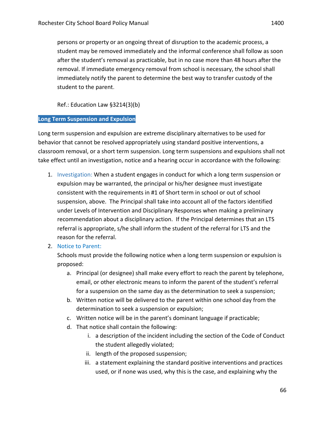student may be removed immediately and the informal conference shall follow as soon after the student's removal as practicable, but in no case more than 48 hours after the removal. If immediate emergency removal from school is necessary, the school shall immediately notify the parent to determine the best way to transfer custody of the student to the parent.

Ref.: Education Law §3214(3)(b)

#### **Long Term Suspension and Expulsion**

Long term suspension and expulsion are extreme disciplinary alternatives to be used for behavior that cannot be resolved appropriately using standard positive interventions, a classroom removal, or a short term suspension. Long term suspensions and expulsions shall not take effect until an investigation, notice and a hearing occur in accordance with the following:

- 1. Investigation: When a student engages in conduct for which a long term suspension or expulsion may be warranted, the principal or his/her designee must investigate consistent with the requirements in #1 of Short term in school or out of school suspension, above. The Principal shall take into account all of the factors identified under Levels of Intervention and Disciplinary Responses when making a preliminary recommendation about a disciplinary action. If the Principal determines that an LTS referral is appropriate, s/he shall inform the student of the referral for LTS and the reason for the referral.
- 2. Notice to Parent:

Schools must provide the following notice when a long term suspension or expulsion is proposed:

- a. Principal (or designee) shall make every effort to reach the parent by telephone, email, or other electronic means to inform the parent of the student's referral for a suspension on the same day as the determination to seek a suspension;
- b. Written notice will be delivered to the parent within one school day from the determination to seek a suspension or expulsion;
- c. Written notice will be in the parent's dominant language if practicable;
- d. That notice shall contain the following:
	- i. a description of the incident including the section of the Code of Conduct the student allegedly violated;
	- ii. length of the proposed suspension;
	- iii. a statement explaining the standard positive interventions and practices used, or if none was used, why this is the case, and explaining why the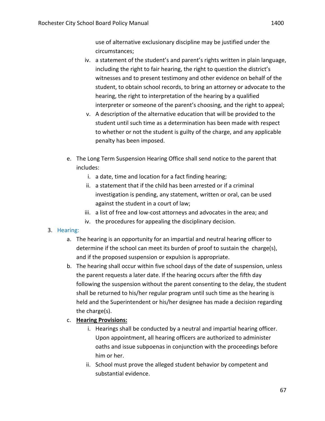use of alternative exclusionary discipline may be justified under the circumstances;

- iv. a statement of the student's and parent's rights written in plain language, including the right to fair hearing, the right to question the district's witnesses and to present testimony and other evidence on behalf of the student, to obtain school records, to bring an attorney or advocate to the hearing, the right to interpretation of the hearing by a qualified interpreter or someone of the parent's choosing, and the right to appeal;
- v. A description of the alternative education that will be provided to the student until such time as a determination has been made with respect to whether or not the student is guilty of the charge, and any applicable penalty has been imposed.
- e. The Long Term Suspension Hearing Office shall send notice to the parent that includes:
	- i. a date, time and location for a fact finding hearing;
	- ii. a statement that if the child has been arrested or if a criminal investigation is pending, any statement, written or oral, can be used against the student in a court of law;
	- iii. a list of free and low-cost attorneys and advocates in the area; and
	- iv. the procedures for appealing the disciplinary decision.

#### 3. Hearing:

- a. The hearing is an opportunity for an impartial and neutral hearing officer to determine if the school can meet its burden of proof to sustain the charge(s), and if the proposed suspension or expulsion is appropriate.
- b. The hearing shall occur within five school days of the date of suspension, unless the parent requests a later date. If the hearing occurs after the fifth day following the suspension without the parent consenting to the delay, the student shall be returned to his/her regular program until such time as the hearing is held and the Superintendent or his/her designee has made a decision regarding the charge $(s)$ .
- c. **Hearing Provisions:** 
	- i. Hearings shall be conducted by a neutral and impartial hearing officer. Upon appointment, all hearing officers are authorized to administer oaths and issue subpoenas in conjunction with the proceedings before him or her.
	- ii. School must prove the alleged student behavior by competent and substantial evidence.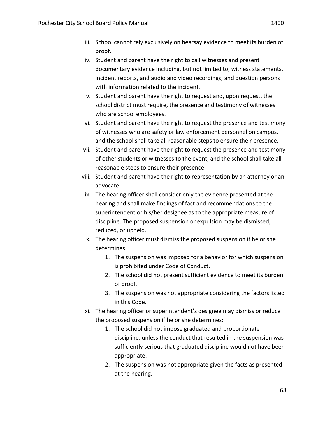- iii. School cannot rely exclusively on hearsay evidence to meet its burden of proof.
- iv. Student and parent have the right to call witnesses and present documentary evidence including, but not limited to, witness statements, incident reports, and audio and video recordings; and question persons with information related to the incident.
- v. Student and parent have the right to request and, upon request, the school district must require, the presence and testimony of witnesses who are school employees.
- vi. Student and parent have the right to request the presence and testimony of witnesses who are safety or law enforcement personnel on campus, and the school shall take all reasonable steps to ensure their presence.
- vii. Student and parent have the right to request the presence and testimony of other students or witnesses to the event, and the school shall take all reasonable steps to ensure their presence.
- viii. Student and parent have the right to representation by an attorney or an advocate.
- ix. The hearing officer shall consider only the evidence presented at the hearing and shall make findings of fact and recommendations to the superintendent or his/her designee as to the appropriate measure of discipline. The proposed suspension or expulsion may be dismissed, reduced, or upheld.
- x. The hearing officer must dismiss the proposed suspension if he or she determines:
	- 1. The suspension was imposed for a behavior for which suspension is prohibited under Code of Conduct.
	- 2. The school did not present sufficient evidence to meet its burden of proof.
	- 3. The suspension was not appropriate considering the factors listed in this Code.
- xi. The hearing officer or superintendent's designee may dismiss or reduce the proposed suspension if he or she determines:
	- 1. The school did not impose graduated and proportionate discipline, unless the conduct that resulted in the suspension was sufficiently serious that graduated discipline would not have been appropriate.
	- 2. The suspension was not appropriate given the facts as presented at the hearing.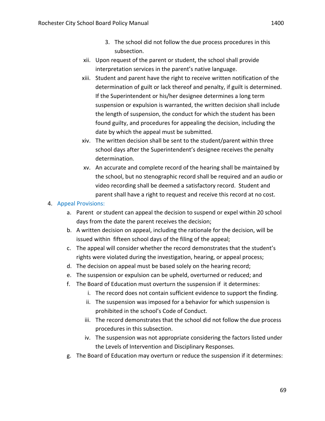- 3. The school did not follow the due process procedures in this subsection.
- xii. Upon request of the parent or student, the school shall provide interpretation services in the parent's native language.
- xiii. Student and parent have the right to receive written notification of the determination of guilt or lack thereof and penalty, if guilt is determined. If the Superintendent or his/her designee determines a long term suspension or expulsion is warranted, the written decision shall include the length of suspension, the conduct for which the student has been found guilty, and procedures for appealing the decision, including the date by which the appeal must be submitted.
- xiv. The written decision shall be sent to the student/parent within three school days after the Superintendent's designee receives the penalty determination.
- xy. An accurate and complete record of the hearing shall be maintained by the school, but no stenographic record shall be required and an audio or video recording shall be deemed a satisfactory record. Student and parent shall have a right to request and receive this record at no cost.

#### 4. Appeal Provisions:

- a. Parent or student can appeal the decision to suspend or expel within 20 school days from the date the parent receives the decision;
- b. A written decision on appeal, including the rationale for the decision, will be issued within fifteen school days of the filing of the appeal;
- c. The appeal will consider whether the record demonstrates that the student's rights were violated during the investigation, hearing, or appeal process;
- d. The decision on appeal must be based solely on the hearing record;
- e. The suspension or expulsion can be upheld, overturned or reduced; and
- f. The Board of Education must overturn the suspension if it determines:
	- i. The record does not contain sufficient evidence to support the finding.
	- ii. The suspension was imposed for a behavior for which suspension is prohibited in the school's Code of Conduct.
	- iii. The record demonstrates that the school did not follow the due process procedures in this subsection.
	- iv. The suspension was not appropriate considering the factors listed under the Levels of Intervention and Disciplinary Responses.
- g. The Board of Education may overturn or reduce the suspension if it determines: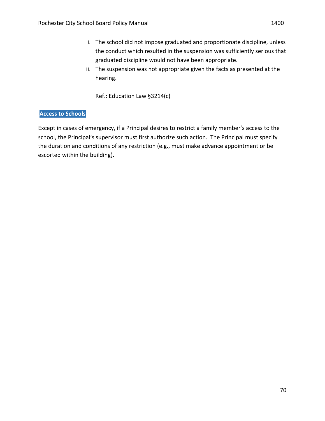- i. The school did not impose graduated and proportionate discipline, unless the conduct which resulted in the suspension was sufficiently serious that graduated discipline would not have been appropriate.
- ii. The suspension was not appropriate given the facts as presented at the hearing.

Ref.: Education Law §3214(c)

#### **Access to Schools**

Except in cases of emergency, if a Principal desires to restrict a family member's access to the school, the Principal's supervisor must first authorize such action. The Principal must specify the duration and conditions of any restriction (e.g., must make advance appointment or be escorted within the building).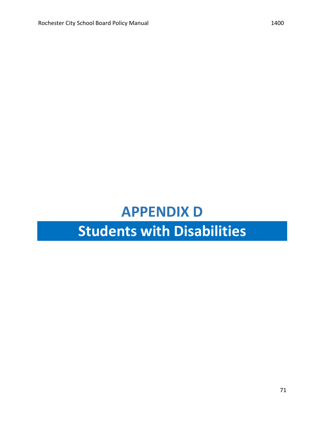# **APPENDIX D**

# **Students with Disabilities**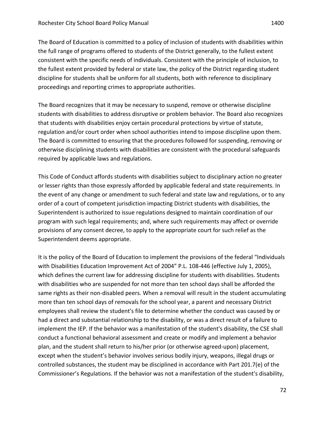The Board of Education is committed to a policy of inclusion of students with disabilities within the full range of programs offered to students of the District generally, to the fullest extent consistent with the specific needs of individuals. Consistent with the principle of inclusion, to the fullest extent provided by federal or state law, the policy of the District regarding student discipline for students shall be uniform for all students, both with reference to disciplinary proceedings and reporting crimes to appropriate authorities.

The Board recognizes that it may be necessary to suspend, remove or otherwise discipline students with disabilities to address disruptive or problem behavior. The Board also recognizes that students with disabilities enjoy certain procedural protections by virtue of statute, regulation and/or court order when school authorities intend to impose discipline upon them. The Board is committed to ensuring that the procedures followed for suspending, removing or otherwise disciplining students with disabilities are consistent with the procedural safeguards required by applicable laws and regulations.

This Code of Conduct affords students with disabilities subject to disciplinary action no greater or lesser rights than those expressly afforded by applicable federal and state requirements. In the event of any change or amendment to such federal and state law and regulations, or to any order of a court of competent jurisdiction impacting District students with disabilities, the Superintendent is authorized to issue regulations designed to maintain coordination of our program with such legal requirements; and, where such requirements may affect or override provisions of any consent decree, to apply to the appropriate court for such relief as the Superintendent deems appropriate.

It is the policy of the Board of Education to implement the provisions of the federal "Individuals with Disabilities Education Improvement Act of 2004" P.L. 108-446 (effective July 1, 2005), which defines the current law for addressing discipline for students with disabilities. Students with disabilities who are suspended for not more than ten school days shall be afforded the same rights as their non-disabled peers. When a removal will result in the student accumulating more than ten school days of removals for the school year, a parent and necessary District employees shall review the student's file to determine whether the conduct was caused by or had a direct and substantial relationship to the disability, or was a direct result of a failure to implement the IEP. If the behavior was a manifestation of the student's disability, the CSE shall conduct a functional behavioral assessment and create or modify and implement a behavior plan, and the student shall return to his/her prior (or otherwise agreed-upon) placement, except when the student's behavior involves serious bodily injury, weapons, illegal drugs or controlled substances, the student may be disciplined in accordance with Part 201.7(e) of the Commissioner's Regulations. If the behavior was not a manifestation of the student's disability,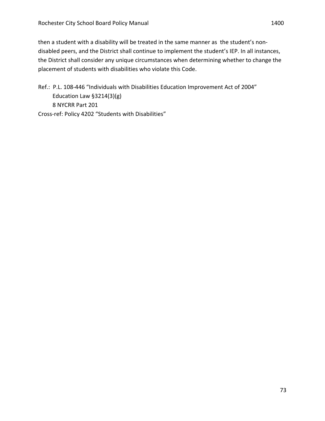then a student with a disability will be treated in the same manner as the student's nondisabled peers, and the District shall continue to implement the student's IEP. In all instances, the District shall consider any unique circumstances when determining whether to change the placement of students with disabilities who violate this Code.

Ref.: P.L. 108-446 "Individuals with Disabilities Education Improvement Act of 2004" Education Law  $\S 3214(3)(g)$ 8 NYCRR Part 201 Cross-ref: Policy 4202 "Students with Disabilities"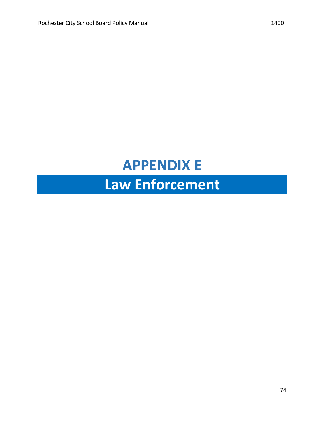### **APPENDIX E**

# Law Enforcement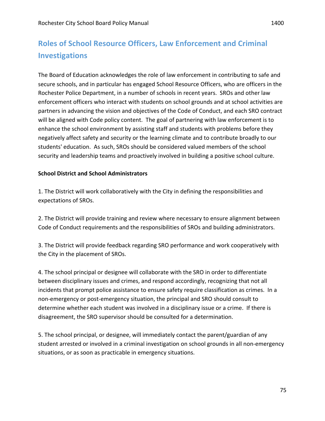### **Roles of School Resource Officers, Law Enforcement and Criminal Investigations**

The Board of Education acknowledges the role of law enforcement in contributing to safe and secure schools, and in particular has engaged School Resource Officers, who are officers in the Rochester Police Department, in a number of schools in recent years. SROs and other law enforcement officers who interact with students on school grounds and at school activities are partners in advancing the vision and objectives of the Code of Conduct, and each SRO contract will be aligned with Code policy content. The goal of partnering with law enforcement is to enhance the school environment by assisting staff and students with problems before they negatively affect safety and security or the learning climate and to contribute broadly to our students' education. As such, SROs should be considered valued members of the school security and leadership teams and proactively involved in building a positive school culture.

#### **School District and School Administrators**

1. The District will work collaboratively with the City in defining the responsibilities and expectations of SROs.

2. The District will provide training and review where necessary to ensure alignment between Code of Conduct requirements and the responsibilities of SROs and building administrators.

3. The District will provide feedback regarding SRO performance and work cooperatively with the City in the placement of SROs.

4. The school principal or designee will collaborate with the SRO in order to differentiate between disciplinary issues and crimes, and respond accordingly, recognizing that not all incidents that prompt police assistance to ensure safety require classification as crimes. In a non-emergency or post-emergency situation, the principal and SRO should consult to determine whether each student was involved in a disciplinary issue or a crime. If there is disagreement, the SRO supervisor should be consulted for a determination.

5. The school principal, or designee, will immediately contact the parent/guardian of any student arrested or involved in a criminal investigation on school grounds in all non-emergency situations, or as soon as practicable in emergency situations.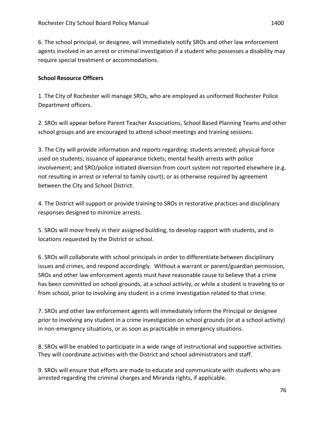6. The school principal, or designee, will immediately notify SROs and other law enforcement agents involved in an arrest or criminal investigation if a student who possesses a disability may require special treatment or accommodations.

#### **School Resource Officers**

1. The City of Rochester will manage SROs, who are employed as uniformed Rochester Police Department officers.

2. SROs will appear before Parent Teacher Associations, School Based Planning Teams and other school groups and are encouraged to attend school meetings and training sessions.

3. The City will provide information and reports regarding: students arrested; physical force used on students; issuance of appearance tickets; mental health arrests with police involvement; and SRO/police initiated diversion from court system not reported elsewhere (e.g. not resulting in arrest or referral to family court); or as otherwise required by agreement between the City and School District.

4. The District will support or provide training to SROs in restorative practices and disciplinary responses designed to minimize arrests.

5. SROs will move freely in their assigned building, to develop rapport with students, and in locations requested by the District or school.

6. SROs will collaborate with school principals in order to differentiate between disciplinary issues and crimes, and respond accordingly. Without a warrant or parent/guardian permission, SROs and other law enforcement agents must have reasonable cause to believe that a crime has been committed on school grounds, at a school activity, or while a student is traveling to or from school, prior to involving any student in a crime investigation related to that crime.

7. SROs and other law enforcement agents will immediately inform the Principal or designee prior to involving any student in a crime investigation on school grounds (or at a school activity) in non-emergency situations, or as soon as practicable in emergency situations.

8. SROs will be enabled to participate in a wide range of instructional and supportive activities. They will coordinate activities with the District and school administrators and staff.

9. SROs will ensure that efforts are made to educate and communicate with students who are arrested regarding the criminal charges and Miranda rights, if applicable.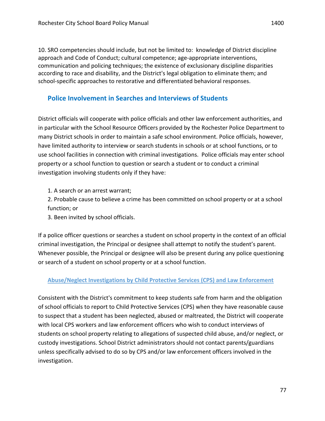10. SRO competencies should include, but not be limited to: knowledge of District discipline approach and Code of Conduct; cultural competence; age-appropriate interventions, communication and policing techniques; the existence of exclusionary discipline disparities according to race and disability, and the District's legal obligation to eliminate them; and school-specific approaches to restorative and differentiated behavioral responses.

#### **Police Involvement in Searches and Interviews of Students**

District officials will cooperate with police officials and other law enforcement authorities, and in particular with the School Resource Officers provided by the Rochester Police Department to many District schools in order to maintain a safe school environment. Police officials, however, have limited authority to interview or search students in schools or at school functions, or to use school facilities in connection with criminal investigations. Police officials may enter school property or a school function to question or search a student or to conduct a criminal investigation involving students only if they have:

- 1. A search or an arrest warrant;
- 2. Probable cause to believe a crime has been committed on school property or at a school function; or
- 3. Been invited by school officials.

If a police officer questions or searches a student on school property in the context of an official criminal investigation, the Principal or designee shall attempt to notify the student's parent. Whenever possible, the Principal or designee will also be present during any police questioning or search of a student on school property or at a school function.

#### Abuse/Neglect Investigations by Child Protective Services (CPS) and Law Enforcement

Consistent with the District's commitment to keep students safe from harm and the obligation of school officials to report to Child Protective Services (CPS) when they have reasonable cause to suspect that a student has been neglected, abused or maltreated, the District will cooperate with local CPS workers and law enforcement officers who wish to conduct interviews of students on school property relating to allegations of suspected child abuse, and/or neglect, or custody investigations. School District administrators should not contact parents/guardians unless specifically advised to do so by CPS and/or law enforcement officers involved in the investigation.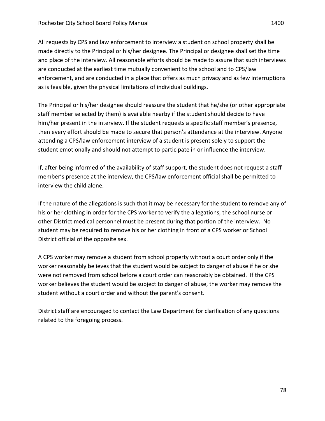All requests by CPS and law enforcement to interview a student on school property shall be made directly to the Principal or his/her designee. The Principal or designee shall set the time and place of the interview. All reasonable efforts should be made to assure that such interviews are conducted at the earliest time mutually convenient to the school and to CPS/law enforcement, and are conducted in a place that offers as much privacy and as few interruptions as is feasible, given the physical limitations of individual buildings.

The Principal or his/her designee should reassure the student that he/she (or other appropriate staff member selected by them) is available nearby if the student should decide to have him/her present in the interview. If the student requests a specific staff member's presence, then every effort should be made to secure that person's attendance at the interview. Anyone attending a CPS/law enforcement interview of a student is present solely to support the student emotionally and should not attempt to participate in or influence the interview.

If, after being informed of the availability of staff support, the student does not request a staff member's presence at the interview, the CPS/law enforcement official shall be permitted to interview the child alone.

If the nature of the allegations is such that it may be necessary for the student to remove any of his or her clothing in order for the CPS worker to verify the allegations, the school nurse or other District medical personnel must be present during that portion of the interview. No student may be required to remove his or her clothing in front of a CPS worker or School District official of the opposite sex.

A CPS worker may remove a student from school property without a court order only if the worker reasonably believes that the student would be subject to danger of abuse if he or she were not removed from school before a court order can reasonably be obtained. If the CPS worker believes the student would be subject to danger of abuse, the worker may remove the student without a court order and without the parent's consent.

District staff are encouraged to contact the Law Department for clarification of any questions related to the foregoing process.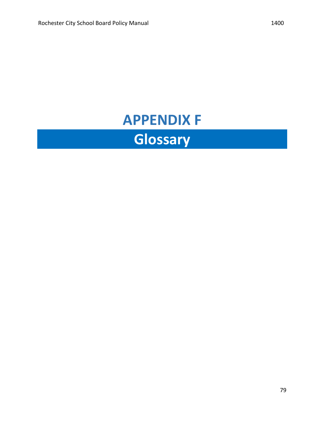## **APPENDIX F Glossary**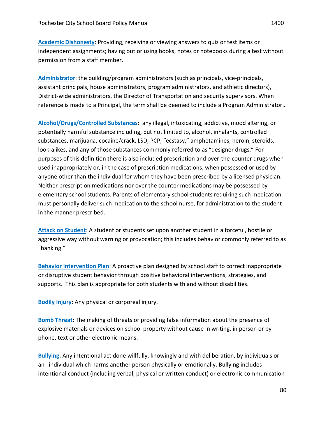**Academic Dishonesty: Providing, receiving or viewing answers to quiz or test items or** independent assignments; having out or using books, notes or notebooks during a test without permission from a staff member.

Administrator: the building/program administrators (such as principals, vice-principals, assistant principals, house administrators, program administrators, and athletic directors), District-wide administrators, the Director of Transportation and security supervisors. When reference is made to a Principal, the term shall be deemed to include a Program Administrator..

Alcohol/Drugs/Controlled Substances: any illegal, intoxicating, addictive, mood altering, or potentially harmful substance including, but not limited to, alcohol, inhalants, controlled substances, marijuana, cocaine/crack, LSD, PCP, "ecstasy," amphetamines, heroin, steroids, look-alikes, and any of those substances commonly referred to as "designer drugs." For purposes of this definition there is also included prescription and over-the-counter drugs when used inappropriately or, in the case of prescription medications, when possessed or used by anyone other than the individual for whom they have been prescribed by a licensed physician. Neither prescription medications nor over the counter medications may be possessed by elementary school students. Parents of elementary school students requiring such medication must personally deliver such medication to the school nurse, for administration to the student in the manner prescribed.

Attack on Student: A student or students set upon another student in a forceful, hostile or aggressive way without warning or provocation; this includes behavior commonly referred to as "banking."

**Behavior Intervention Plan:** A proactive plan designed by school staff to correct inappropriate or disruptive student behavior through positive behavioral interventions, strategies, and supports. This plan is appropriate for both students with and without disabilities.

**Bodily Injury:** Any physical or corporeal injury.

**Bomb Threat:** The making of threats or providing false information about the presence of explosive materials or devices on school property without cause in writing, in person or by phone, text or other electronic means.

**Bullying**: Any intentional act done willfully, knowingly and with deliberation, by individuals or an individual which harms another person physically or emotionally. Bullying includes intentional conduct (including verbal, physical or written conduct) or electronic communication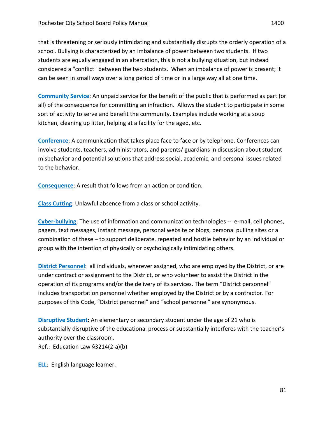that is threatening or seriously intimidating and substantially disrupts the orderly operation of a school. Bullying is characterized by an imbalance of power between two students. If two students are equally engaged in an altercation, this is not a bullying situation, but instead considered a "conflict" between the two students. When an imbalance of power is present; it can be seen in small ways over a long period of time or in a large way all at one time.

**Community Service:** An unpaid service for the benefit of the public that is performed as part (or all) of the consequence for committing an infraction. Allows the student to participate in some sort of activity to serve and benefit the community. Examples include working at a soup kitchen, cleaning up litter, helping at a facility for the aged, etc.

**Conference:** A communication that takes place face to face or by telephone. Conferences can involve students, teachers, administrators, and parents/ guardians in discussion about student misbehavior and potential solutions that address social, academic, and personal issues related to the behavior.

**Consequence:** A result that follows from an action or condition.

**Class Cutting:** Unlawful absence from a class or school activity.

**Cyber-bullying:** The use of information and communication technologies -- e-mail, cell phones, pagers, text messages, instant message, personal website or blogs, personal pulling sites or a combination of these – to support deliberate, repeated and hostile behavior by an individual or group with the intention of physically or psychologically intimidating others.

**District Personnel:** all individuals, wherever assigned, who are employed by the District, or are under contract or assignment to the District, or who volunteer to assist the District in the operation of its programs and/or the delivery of its services. The term "District personnel" includes transportation personnel whether employed by the District or by a contractor. For purposes of this Code, "District personnel" and "school personnel" are synonymous.

**Disruptive Student:** An elementary or secondary student under the age of 21 who is substantially disruptive of the educational process or substantially interferes with the teacher's authority over the classroom.

Ref.: Education Law  $\S$ 3214(2-a)(b)

**ELL:** English language learner.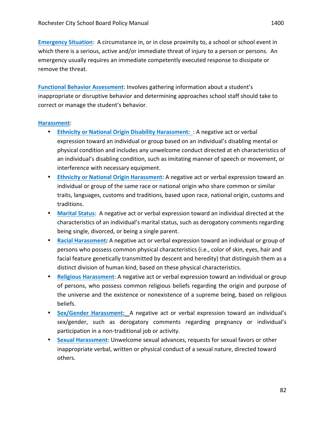**Emergency Situation:** A circumstance in, or in close proximity to, a school or school event in which there is a serious, active and/or immediate threat of injury to a person or persons. An emergency usually requires an immediate competently executed response to dissipate or remove the threat.

**Functional Behavior Assessment:** Involves gathering information about a student's inappropriate or disruptive behavior and determining approaches school staff should take to correct or manage the student's behavior.

#### **Harassment**:

- Ethnicity or National Origin Disability Harassment: : A negative act or verbal expression toward an individual or group based on an individual's disabling mental or physical condition and includes any unwelcome conduct directed at eh characteristics of an individual's disabling condition, such as imitating manner of speech or movement, or interference with necessary equipment.
- **Ethnicity or National Origin Harassment**: A negative act or verbal expression toward an individual or group of the same race or national origin who share common or similar traits, languages, customs and traditions, based upon race, national origin, customs and traditions.
- Marital Status: A negative act or verbal expression toward an individual directed at the characteristics of an individual's marital status, such as derogatory comments regarding being single, divorced, or being a single parent.
- Racial Harassment: A negative act or verbal expression toward an individual or group of persons who possess common physical characteristics (i.e., color of skin, eyes, hair and facial feature genetically transmitted by descent and heredity) that distinguish them as a distinct division of human kind, based on these physical characteristics.
- **Religious Harassment:** A negative act or verbal expression toward an individual or group of persons, who possess common religious beliefs regarding the origin and purpose of the universe and the existence or nonexistence of a supreme being, based on religious beliefs.
- Sex/Gender Harassment: A negative act or verbal expression toward an individual's sex/gender, such as derogatory comments regarding pregnancy or individual's participation in a non-traditional job or activity.
- **Sexual Harassment:** Unwelcome sexual advances, requests for sexual favors or other inappropriate verbal, written or physical conduct of a sexual nature, directed toward others.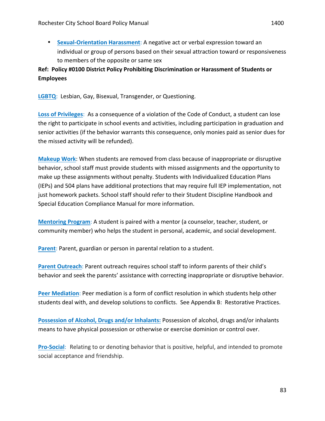#### **Ref: Policy #0100 District Policy Prohibiting Discrimination or Harassment of Students or Employees**

**LGBTQ:** Lesbian, Gay, Bisexual, Transgender, or Questioning.

to members of the opposite or same sex

**Loss of Privileges:** As a consequence of a violation of the Code of Conduct, a student can lose the right to participate in school events and activities, including participation in graduation and senior activities (if the behavior warrants this consequence, only monies paid as senior dues for the missed activity will be refunded).

**Makeup Work:** When students are removed from class because of inappropriate or disruptive behavior, school staff must provide students with missed assignments and the opportunity to make up these assignments without penalty. Students with Individualized Education Plans (IEPs) and 504 plans have additional protections that may require full IEP implementation, not just homework packets. School staff should refer to their Student Discipline Handbook and Special Education Compliance Manual for more information.

**Mentoring Program:** A student is paired with a mentor (a counselor, teacher, student, or community member) who helps the student in personal, academic, and social development.

**Parent:** Parent, guardian or person in parental relation to a student.

**Parent Outreach:** Parent outreach requires school staff to inform parents of their child's behavior and seek the parents' assistance with correcting inappropriate or disruptive behavior.

**Peer Mediation:** Peer mediation is a form of conflict resolution in which students help other students deal with, and develop solutions to conflicts. See Appendix B: Restorative Practices.

**Possession of Alcohol, Drugs and/or Inhalants: Possession of alcohol, drugs and/or inhalants** means to have physical possession or otherwise or exercise dominion or control over.

**Pro-Social:** Relating to or denoting behavior that is positive, helpful, and intended to promote social acceptance and friendship.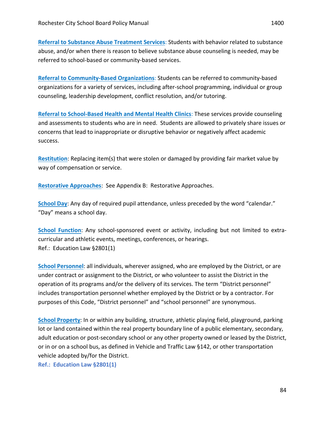**Referral to Substance Abuse Treatment Services:** Students with behavior related to substance abuse, and/or when there is reason to believe substance abuse counseling is needed, may be referred to school-based or community-based services.

**Referral to Community-Based Organizations:** Students can be referred to community-based organizations for a variety of services, including after-school programming, individual or group counseling, leadership development, conflict resolution, and/or tutoring.

**Referral to School-Based Health and Mental Health Clinics: These services provide counseling** and assessments to students who are in need. Students are allowed to privately share issues or concerns that lead to inappropriate or disruptive behavior or negatively affect academic success. 

**Restitution**: Replacing item(s) that were stolen or damaged by providing fair market value by way of compensation or service.

**Restorative Approaches:** See Appendix B: Restorative Approaches.

**School Day:** Any day of required pupil attendance, unless preceded by the word "calendar." "Day" means a school day.

**School Function**: Any school-sponsored event or activity, including but not limited to extracurricular and athletic events, meetings, conferences, or hearings. Ref.: Education Law §2801(1)

**School Personnel:** all individuals, wherever assigned, who are employed by the District, or are under contract or assignment to the District, or who volunteer to assist the District in the operation of its programs and/or the delivery of its services. The term "District personnel" includes transportation personnel whether employed by the District or by a contractor. For purposes of this Code, "District personnel" and "school personnel" are synonymous.

**School Property:** In or within any building, structure, athletic playing field, playground, parking lot or land contained within the real property boundary line of a public elementary, secondary, adult education or post-secondary school or any other property owned or leased by the District, or in or on a school bus, as defined in Vehicle and Traffic Law §142, or other transportation vehicle adopted by/for the District.

**Ref.: Education Law §2801(1)**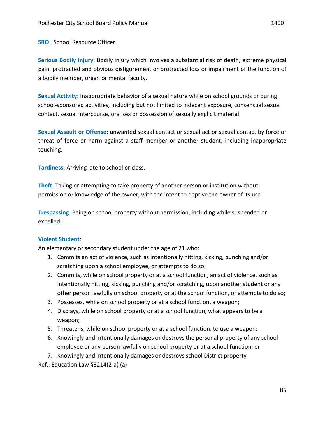**Serious Bodily Injury:** Bodily injury which involves a substantial risk of death, extreme physical pain, protracted and obvious disfigurement or protracted loss or impairment of the function of a bodily member, organ or mental faculty.

**Sexual Activity:** Inappropriate behavior of a sexual nature while on school grounds or during school-sponsored activities, including but not limited to indecent exposure, consensual sexual contact, sexual intercourse, oral sex or possession of sexually explicit material.

**Sexual Assault or Offense:** unwanted sexual contact or sexual act or sexual contact by force or threat of force or harm against a staff member or another student, including inappropriate touching.

**Tardiness:** Arriving late to school or class.

**Theft:** Taking or attempting to take property of another person or institution without permission or knowledge of the owner, with the intent to deprive the owner of its use.

**Trespassing:** Being on school property without permission, including while suspended or expelled.

#### **Violent Student:**

An elementary or secondary student under the age of 21 who:

- 1. Commits an act of violence, such as intentionally hitting, kicking, punching and/or scratching upon a school employee, or attempts to do so;
- 2. Commits, while on school property or at a school function, an act of violence, such as intentionally hitting, kicking, punching and/or scratching, upon another student or any other person lawfully on school property or at the school function, or attempts to do so;
- 3. Possesses, while on school property or at a school function, a weapon;
- 4. Displays, while on school property or at a school function, what appears to be a weapon;
- 5. Threatens, while on school property or at a school function, to use a weapon;
- 6. Knowingly and intentionally damages or destroys the personal property of any school employee or any person lawfully on school property or at a school function; or
- 7. Knowingly and intentionally damages or destroys school District property

Ref.: Education Law  $§3214(2-a)$  (a)